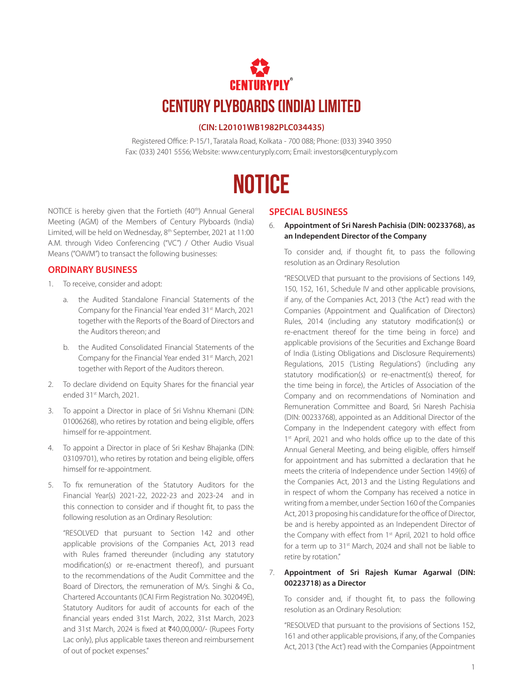## **CENTURY PLYBOARDS (INDIA) LIMITED**

#### **(CIN: L20101WB1982PLC034435)**

Registered Office: P-15/1, Taratala Road, Kolkata - 700 088; Phone: (033) 3940 3950 Fax: (033) 2401 5556; Website: www.centuryply.com; Email: investors@centuryply.com

## **NOTICE**

NOTICE is hereby given that the Fortieth (40<sup>th</sup>) Annual General Meeting (AGM) of the Members of Century Plyboards (India) Limited, will be held on Wednesday, 8<sup>th</sup> September, 2021 at 11:00 A.M. through Video Conferencing ("VC") / Other Audio Visual Means ("OAVM") to transact the following businesses:

#### **ORDINARY BUSINESS**

- 1. To receive, consider and adopt:
	- a. the Audited Standalone Financial Statements of the Company for the Financial Year ended 31st March, 2021 together with the Reports of the Board of Directors and the Auditors thereon; and
	- b. the Audited Consolidated Financial Statements of the Company for the Financial Year ended 31st March, 2021 together with Report of the Auditors thereon.
- 2. To declare dividend on Equity Shares for the financial year ended 31st March, 2021.
- 3. To appoint a Director in place of Sri Vishnu Khemani (DIN: 01006268), who retires by rotation and being eligible, offers himself for re-appointment.
- 4. To appoint a Director in place of Sri Keshav Bhajanka (DIN: 03109701), who retires by rotation and being eligible, offers himself for re-appointment.
- 5. To fix remuneration of the Statutory Auditors for the Financial Year(s) 2021-22, 2022-23 and 2023-24 and in this connection to consider and if thought fit, to pass the following resolution as an Ordinary Resolution:

"RESOLVED that pursuant to Section 142 and other applicable provisions of the Companies Act, 2013 read with Rules framed thereunder (including any statutory modification(s) or re-enactment thereof), and pursuant to the recommendations of the Audit Committee and the Board of Directors, the remuneration of M/s. Singhi & Co., Chartered Accountants (ICAI Firm Registration No. 302049E), Statutory Auditors for audit of accounts for each of the financial years ended 31st March, 2022, 31st March, 2023 and 31st March, 2024 is fixed at ₹40,00,000/- (Rupees Forty Lac only), plus applicable taxes thereon and reimbursement of out of pocket expenses."

#### **SPECIAL BUSINESS**

6. **Appointment of Sri Naresh Pachisia (DIN: 00233768), as an Independent Director of the Company**

To consider and, if thought fit, to pass the following resolution as an Ordinary Resolution

"RESOLVED that pursuant to the provisions of Sections 149, 150, 152, 161, Schedule IV and other applicable provisions, if any, of the Companies Act, 2013 ('the Act') read with the Companies (Appointment and Qualification of Directors) Rules, 2014 (including any statutory modification(s) or re-enactment thereof for the time being in force) and applicable provisions of the Securities and Exchange Board of India (Listing Obligations and Disclosure Requirements) Regulations, 2015 ('Listing Regulations') (including any statutory modification(s) or re-enactment(s) thereof, for the time being in force), the Articles of Association of the Company and on recommendations of Nomination and Remuneration Committee and Board, Sri Naresh Pachisia (DIN: 00233768), appointed as an Additional Director of the Company in the Independent category with effect from 1<sup>st</sup> April, 2021 and who holds office up to the date of this Annual General Meeting, and being eligible, offers himself for appointment and has submitted a declaration that he meets the criteria of Independence under Section 149(6) of the Companies Act, 2013 and the Listing Regulations and in respect of whom the Company has received a notice in writing from a member, under Section 160 of the Companies Act, 2013 proposing his candidature for the office of Director, be and is hereby appointed as an Independent Director of the Company with effect from 1<sup>st</sup> April, 2021 to hold office for a term up to 31<sup>st</sup> March, 2024 and shall not be liable to retire by rotation."

#### 7. **Appointment of Sri Rajesh Kumar Agarwal (DIN: 00223718) as a Director**

To consider and, if thought fit, to pass the following resolution as an Ordinary Resolution:

"RESOLVED that pursuant to the provisions of Sections 152, 161 and other applicable provisions, if any, of the Companies Act, 2013 ('the Act') read with the Companies (Appointment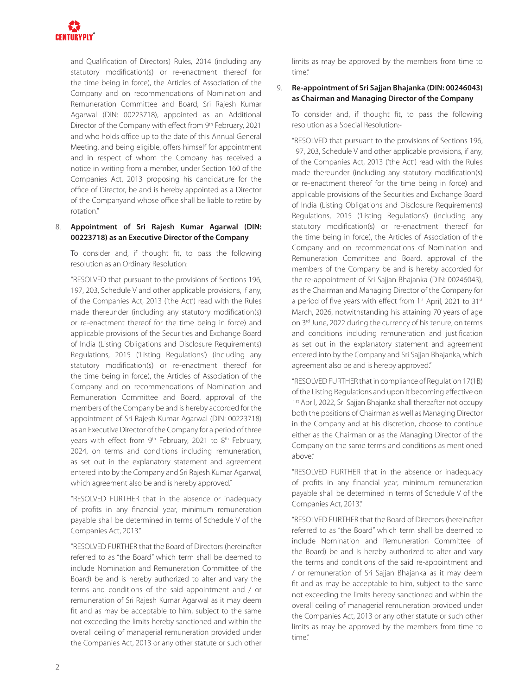

and Qualification of Directors) Rules, 2014 (including any statutory modification(s) or re-enactment thereof for the time being in force), the Articles of Association of the Company and on recommendations of Nomination and Remuneration Committee and Board, Sri Rajesh Kumar Agarwal (DIN: 00223718), appointed as an Additional Director of the Company with effect from 9th February, 2021 and who holds office up to the date of this Annual General Meeting, and being eligible, offers himself for appointment and in respect of whom the Company has received a notice in writing from a member, under Section 160 of the Companies Act, 2013 proposing his candidature for the office of Director, be and is hereby appointed as a Director of the Companyand whose office shall be liable to retire by rotation."

#### 8. **Appointment of Sri Rajesh Kumar Agarwal (DIN: 00223718) as an Executive Director of the Company**

To consider and, if thought fit, to pass the following resolution as an Ordinary Resolution:

"RESOLVED that pursuant to the provisions of Sections 196, 197, 203, Schedule V and other applicable provisions, if any, of the Companies Act, 2013 ('the Act') read with the Rules made thereunder (including any statutory modification(s) or re-enactment thereof for the time being in force) and applicable provisions of the Securities and Exchange Board of India (Listing Obligations and Disclosure Requirements) Regulations, 2015 ('Listing Regulations') (including any statutory modification(s) or re-enactment thereof for the time being in force), the Articles of Association of the Company and on recommendations of Nomination and Remuneration Committee and Board, approval of the members of the Company be and is hereby accorded for the appointment of Sri Rajesh Kumar Agarwal (DIN: 00223718) as an Executive Director of the Company for a period of three years with effect from 9<sup>th</sup> February, 2021 to 8<sup>th</sup> February, 2024, on terms and conditions including remuneration, as set out in the explanatory statement and agreement entered into by the Company and Sri Rajesh Kumar Agarwal, which agreement also be and is hereby approved."

"RESOLVED FURTHER that in the absence or inadequacy of profits in any financial year, minimum remuneration payable shall be determined in terms of Schedule V of the Companies Act, 2013."

"RESOLVED FURTHER that the Board of Directors (hereinafter referred to as "the Board" which term shall be deemed to include Nomination and Remuneration Committee of the Board) be and is hereby authorized to alter and vary the terms and conditions of the said appointment and / or remuneration of Sri Rajesh Kumar Agarwal as it may deem fit and as may be acceptable to him, subject to the same not exceeding the limits hereby sanctioned and within the overall ceiling of managerial remuneration provided under the Companies Act, 2013 or any other statute or such other limits as may be approved by the members from time to time."

#### 9. **Re-appointment of Sri Sajjan Bhajanka (DIN: 00246043) as Chairman and Managing Director of the Company**

To consider and, if thought fit, to pass the following resolution as a Special Resolution:-

"RESOLVED that pursuant to the provisions of Sections 196, 197, 203, Schedule V and other applicable provisions, if any, of the Companies Act, 2013 ('the Act') read with the Rules made thereunder (including any statutory modification(s) or re-enactment thereof for the time being in force) and applicable provisions of the Securities and Exchange Board of India (Listing Obligations and Disclosure Requirements) Regulations, 2015 ('Listing Regulations') (including any statutory modification(s) or re-enactment thereof for the time being in force), the Articles of Association of the Company and on recommendations of Nomination and Remuneration Committee and Board, approval of the members of the Company be and is hereby accorded for the re-appointment of Sri Sajjan Bhajanka (DIN: 00246043), as the Chairman and Managing Director of the Company for a period of five years with effect from 1st April, 2021 to 31st March, 2026, notwithstanding his attaining 70 years of age on 3<sup>rd</sup> June, 2022 during the currency of his tenure, on terms and conditions including remuneration and justification as set out in the explanatory statement and agreement entered into by the Company and Sri Sajjan Bhajanka, which agreement also be and is hereby approved."

"RESOLVED FURTHER that in compliance of Regulation 17(1B) of the Listing Regulations and upon it becoming effective on 1 st April, 2022, Sri Sajjan Bhajanka shall thereafter not occupy both the positions of Chairman as well as Managing Director in the Company and at his discretion, choose to continue either as the Chairman or as the Managing Director of the Company on the same terms and conditions as mentioned above."

"RESOLVED FURTHER that in the absence or inadequacy of profits in any financial year, minimum remuneration payable shall be determined in terms of Schedule V of the Companies Act, 2013."

"RESOLVED FURTHER that the Board of Directors (hereinafter referred to as "the Board" which term shall be deemed to include Nomination and Remuneration Committee of the Board) be and is hereby authorized to alter and vary the terms and conditions of the said re-appointment and / or remuneration of Sri Sajjan Bhajanka as it may deem fit and as may be acceptable to him, subject to the same not exceeding the limits hereby sanctioned and within the overall ceiling of managerial remuneration provided under the Companies Act, 2013 or any other statute or such other limits as may be approved by the members from time to time."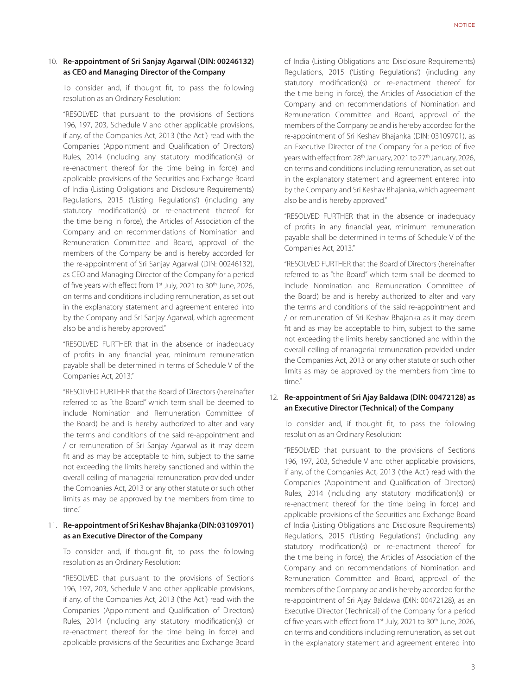#### 10. **Re-appointment of Sri Sanjay Agarwal (DIN: 00246132) as CEO and Managing Director of the Company**

To consider and, if thought fit, to pass the following resolution as an Ordinary Resolution:

"RESOLVED that pursuant to the provisions of Sections 196, 197, 203, Schedule V and other applicable provisions, if any, of the Companies Act, 2013 ('the Act') read with the Companies (Appointment and Qualification of Directors) Rules, 2014 (including any statutory modification(s) or re-enactment thereof for the time being in force) and applicable provisions of the Securities and Exchange Board of India (Listing Obligations and Disclosure Requirements) Regulations, 2015 ('Listing Regulations') (including any statutory modification(s) or re-enactment thereof for the time being in force), the Articles of Association of the Company and on recommendations of Nomination and Remuneration Committee and Board, approval of the members of the Company be and is hereby accorded for the re-appointment of Sri Sanjay Agarwal (DIN: 00246132), as CEO and Managing Director of the Company for a period of five years with effect from 1<sup>st</sup> July, 2021 to 30<sup>th</sup> June, 2026, on terms and conditions including remuneration, as set out in the explanatory statement and agreement entered into by the Company and Sri Sanjay Agarwal, which agreement also be and is hereby approved."

"RESOLVED FURTHER that in the absence or inadequacy of profits in any financial year, minimum remuneration payable shall be determined in terms of Schedule V of the Companies Act, 2013."

"RESOLVED FURTHER that the Board of Directors (hereinafter referred to as "the Board" which term shall be deemed to include Nomination and Remuneration Committee of the Board) be and is hereby authorized to alter and vary the terms and conditions of the said re-appointment and / or remuneration of Sri Sanjay Agarwal as it may deem fit and as may be acceptable to him, subject to the same not exceeding the limits hereby sanctioned and within the overall ceiling of managerial remuneration provided under the Companies Act, 2013 or any other statute or such other limits as may be approved by the members from time to time."

#### 11. **Re-appointment of Sri Keshav Bhajanka (DIN: 03109701) as an Executive Director of the Company**

To consider and, if thought fit, to pass the following resolution as an Ordinary Resolution:

"RESOLVED that pursuant to the provisions of Sections 196, 197, 203, Schedule V and other applicable provisions, if any, of the Companies Act, 2013 ('the Act') read with the Companies (Appointment and Qualification of Directors) Rules, 2014 (including any statutory modification(s) or re-enactment thereof for the time being in force) and applicable provisions of the Securities and Exchange Board

of India (Listing Obligations and Disclosure Requirements) Regulations, 2015 ('Listing Regulations') (including any statutory modification(s) or re-enactment thereof for the time being in force), the Articles of Association of the Company and on recommendations of Nomination and Remuneration Committee and Board, approval of the members of the Company be and is hereby accorded for the re-appointment of Sri Keshav Bhajanka (DIN: 03109701), as an Executive Director of the Company for a period of five years with effect from 28<sup>th</sup> January, 2021 to 27<sup>th</sup> January, 2026, on terms and conditions including remuneration, as set out in the explanatory statement and agreement entered into by the Company and Sri Keshav Bhajanka, which agreement also be and is hereby approved."

"RESOLVED FURTHER that in the absence or inadequacy of profits in any financial year, minimum remuneration payable shall be determined in terms of Schedule V of the Companies Act, 2013."

"RESOLVED FURTHER that the Board of Directors (hereinafter referred to as "the Board" which term shall be deemed to include Nomination and Remuneration Committee of the Board) be and is hereby authorized to alter and vary the terms and conditions of the said re-appointment and / or remuneration of Sri Keshav Bhajanka as it may deem fit and as may be acceptable to him, subject to the same not exceeding the limits hereby sanctioned and within the overall ceiling of managerial remuneration provided under the Companies Act, 2013 or any other statute or such other limits as may be approved by the members from time to time."

#### 12. **Re-appointment of Sri Ajay Baldawa (DIN: 00472128) as an Executive Director (Technical) of the Company**

To consider and, if thought fit, to pass the following resolution as an Ordinary Resolution:

"RESOLVED that pursuant to the provisions of Sections 196, 197, 203, Schedule V and other applicable provisions, if any, of the Companies Act, 2013 ('the Act') read with the Companies (Appointment and Qualification of Directors) Rules, 2014 (including any statutory modification(s) or re-enactment thereof for the time being in force) and applicable provisions of the Securities and Exchange Board of India (Listing Obligations and Disclosure Requirements) Regulations, 2015 ('Listing Regulations') (including any statutory modification(s) or re-enactment thereof for the time being in force), the Articles of Association of the Company and on recommendations of Nomination and Remuneration Committee and Board, approval of the members of the Company be and is hereby accorded for the re-appointment of Sri Ajay Baldawa (DIN: 00472128), as an Executive Director (Technical) of the Company for a period of five years with effect from 1st July, 2021 to 30<sup>th</sup> June, 2026, on terms and conditions including remuneration, as set out in the explanatory statement and agreement entered into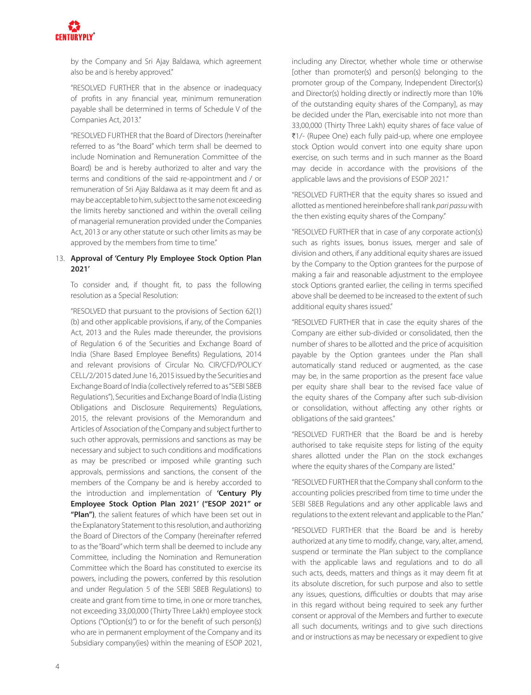

by the Company and Sri Ajay Baldawa, which agreement also be and is hereby approved."

"RESOLVED FURTHER that in the absence or inadequacy of profits in any financial year, minimum remuneration payable shall be determined in terms of Schedule V of the Companies Act, 2013."

"RESOLVED FURTHER that the Board of Directors (hereinafter referred to as "the Board" which term shall be deemed to include Nomination and Remuneration Committee of the Board) be and is hereby authorized to alter and vary the terms and conditions of the said re-appointment and / or remuneration of Sri Ajay Baldawa as it may deem fit and as may be acceptable to him, subject to the same not exceeding the limits hereby sanctioned and within the overall ceiling of managerial remuneration provided under the Companies Act, 2013 or any other statute or such other limits as may be approved by the members from time to time."

#### 13. **Approval of 'Century Ply Employee Stock Option Plan 2021'**

To consider and, if thought fit, to pass the following resolution as a Special Resolution:

"RESOLVED that pursuant to the provisions of Section 62(1) (b) and other applicable provisions, if any, of the Companies Act, 2013 and the Rules made thereunder, the provisions of Regulation 6 of the Securities and Exchange Board of India (Share Based Employee Benefits) Regulations, 2014 and relevant provisions of Circular No. CIR/CFD/POLICY CELL/2/2015 dated June 16, 2015 issued by the Securities and Exchange Board of India (collectively referred to as "SEBI SBEB Regulations"), Securities and Exchange Board of India (Listing Obligations and Disclosure Requirements) Regulations, 2015, the relevant provisions of the Memorandum and Articles of Association of the Company and subject further to such other approvals, permissions and sanctions as may be necessary and subject to such conditions and modifications as may be prescribed or imposed while granting such approvals, permissions and sanctions, the consent of the members of the Company be and is hereby accorded to the introduction and implementation of **'Century Ply Employee Stock Option Plan 2021' ("ESOP 2021" or "Plan")**, the salient features of which have been set out in the Explanatory Statement to this resolution, and authorizing the Board of Directors of the Company (hereinafter referred to as the "Board" which term shall be deemed to include any Committee, including the Nomination and Remuneration Committee which the Board has constituted to exercise its powers, including the powers, conferred by this resolution and under Regulation 5 of the SEBI SBEB Regulations) to create and grant from time to time, in one or more tranches, not exceeding 33,00,000 (Thirty Three Lakh) employee stock Options ("Option(s)") to or for the benefit of such person(s) who are in permanent employment of the Company and its Subsidiary company(ies) within the meaning of ESOP 2021, including any Director, whether whole time or otherwise [other than promoter(s) and person(s) belonging to the promoter group of the Company, Independent Director(s) and Director(s) holding directly or indirectly more than 10% of the outstanding equity shares of the Company], as may be decided under the Plan, exercisable into not more than 33,00,000 (Thirty Three Lakh) equity shares of face value of ₹1/- (Rupee One) each fully paid-up, where one employee stock Option would convert into one equity share upon exercise, on such terms and in such manner as the Board may decide in accordance with the provisions of the applicable laws and the provisions of ESOP 2021."

"RESOLVED FURTHER that the equity shares so issued and allotted as mentioned hereinbefore shall rank *pari passu* with the then existing equity shares of the Company."

"RESOLVED FURTHER that in case of any corporate action(s) such as rights issues, bonus issues, merger and sale of division and others, if any additional equity shares are issued by the Company to the Option grantees for the purpose of making a fair and reasonable adjustment to the employee stock Options granted earlier, the ceiling in terms specified above shall be deemed to be increased to the extent of such additional equity shares issued."

"RESOLVED FURTHER that in case the equity shares of the Company are either sub-divided or consolidated, then the number of shares to be allotted and the price of acquisition payable by the Option grantees under the Plan shall automatically stand reduced or augmented, as the case may be, in the same proportion as the present face value per equity share shall bear to the revised face value of the equity shares of the Company after such sub-division or consolidation, without affecting any other rights or obligations of the said grantees."

"RESOLVED FURTHER that the Board be and is hereby authorised to take requisite steps for listing of the equity shares allotted under the Plan on the stock exchanges where the equity shares of the Company are listed."

"RESOLVED FURTHER that the Company shall conform to the accounting policies prescribed from time to time under the SEBI SBEB Regulations and any other applicable laws and regulations to the extent relevant and applicable to the Plan."

"RESOLVED FURTHER that the Board be and is hereby authorized at any time to modify, change, vary, alter, amend, suspend or terminate the Plan subject to the compliance with the applicable laws and regulations and to do all such acts, deeds, matters and things as it may deem fit at its absolute discretion, for such purpose and also to settle any issues, questions, difficulties or doubts that may arise in this regard without being required to seek any further consent or approval of the Members and further to execute all such documents, writings and to give such directions and or instructions as may be necessary or expedient to give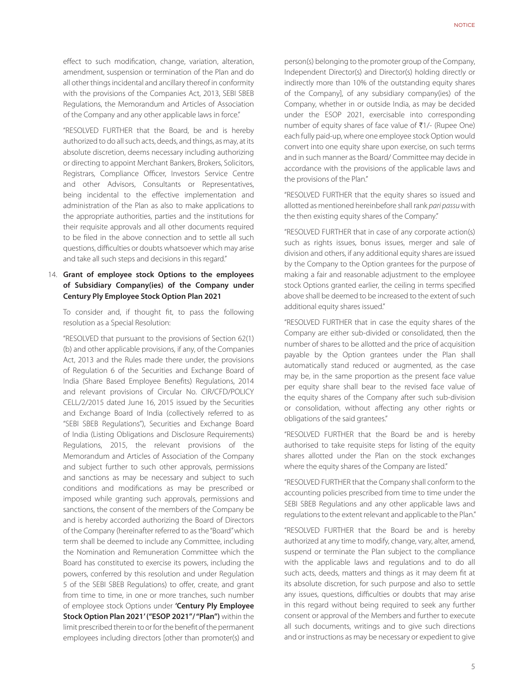effect to such modification, change, variation, alteration, amendment, suspension or termination of the Plan and do all other things incidental and ancillary thereof in conformity with the provisions of the Companies Act, 2013, SEBI SBEB Regulations, the Memorandum and Articles of Association of the Company and any other applicable laws in force."

"RESOLVED FURTHER that the Board, be and is hereby authorized to do all such acts, deeds, and things, as may, at its absolute discretion, deems necessary including authorizing or directing to appoint Merchant Bankers, Brokers, Solicitors, Registrars, Compliance Officer, Investors Service Centre and other Advisors, Consultants or Representatives, being incidental to the effective implementation and administration of the Plan as also to make applications to the appropriate authorities, parties and the institutions for their requisite approvals and all other documents required to be filed in the above connection and to settle all such questions, difficulties or doubts whatsoever which may arise and take all such steps and decisions in this regard."

#### 14. **Grant of employee stock Options to the employees of Subsidiary Company(ies) of the Company under Century Ply Employee Stock Option Plan 2021**

To consider and, if thought fit, to pass the following resolution as a Special Resolution:

"RESOLVED that pursuant to the provisions of Section 62(1) (b) and other applicable provisions, if any, of the Companies Act, 2013 and the Rules made there under, the provisions of Regulation 6 of the Securities and Exchange Board of India (Share Based Employee Benefits) Regulations, 2014 and relevant provisions of Circular No. CIR/CFD/POLICY CELL/2/2015 dated June 16, 2015 issued by the Securities and Exchange Board of India (collectively referred to as "SEBI SBEB Regulations"), Securities and Exchange Board of India (Listing Obligations and Disclosure Requirements) Regulations, 2015, the relevant provisions of the Memorandum and Articles of Association of the Company and subject further to such other approvals, permissions and sanctions as may be necessary and subject to such conditions and modifications as may be prescribed or imposed while granting such approvals, permissions and sanctions, the consent of the members of the Company be and is hereby accorded authorizing the Board of Directors of the Company (hereinafter referred to as the "Board" which term shall be deemed to include any Committee, including the Nomination and Remuneration Committee which the Board has constituted to exercise its powers, including the powers, conferred by this resolution and under Regulation 5 of the SEBI SBEB Regulations) to offer, create, and grant from time to time, in one or more tranches, such number of employee stock Options under **'Century Ply Employee Stock Option Plan 2021' ("ESOP 2021"/ "Plan")** within the limit prescribed therein to or for the benefit of the permanent employees including directors [other than promoter(s) and

person(s) belonging to the promoter group of the Company, Independent Director(s) and Director(s) holding directly or indirectly more than 10% of the outstanding equity shares of the Company], of any subsidiary company(ies) of the Company, whether in or outside India, as may be decided under the ESOP 2021, exercisable into corresponding number of equity shares of face value of  $\overline{5}$ 1/- (Rupee One) each fully paid-up, where one employee stock Option would convert into one equity share upon exercise, on such terms and in such manner as the Board/ Committee may decide in accordance with the provisions of the applicable laws and the provisions of the Plan."

"RESOLVED FURTHER that the equity shares so issued and allotted as mentioned hereinbefore shall rank pari passu with the then existing equity shares of the Company."

"RESOLVED FURTHER that in case of any corporate action(s) such as rights issues, bonus issues, merger and sale of division and others, if any additional equity shares are issued by the Company to the Option grantees for the purpose of making a fair and reasonable adjustment to the employee stock Options granted earlier, the ceiling in terms specified above shall be deemed to be increased to the extent of such additional equity shares issued."

"RESOLVED FURTHER that in case the equity shares of the Company are either sub-divided or consolidated, then the number of shares to be allotted and the price of acquisition payable by the Option grantees under the Plan shall automatically stand reduced or augmented, as the case may be, in the same proportion as the present face value per equity share shall bear to the revised face value of the equity shares of the Company after such sub-division or consolidation, without affecting any other rights or obligations of the said grantees."

"RESOLVED FURTHER that the Board be and is hereby authorised to take requisite steps for listing of the equity shares allotted under the Plan on the stock exchanges where the equity shares of the Company are listed."

"RESOLVED FURTHER that the Company shall conform to the accounting policies prescribed from time to time under the SEBI SBEB Regulations and any other applicable laws and regulations to the extent relevant and applicable to the Plan."

"RESOLVED FURTHER that the Board be and is hereby authorized at any time to modify, change, vary, alter, amend, suspend or terminate the Plan subject to the compliance with the applicable laws and regulations and to do all such acts, deeds, matters and things as it may deem fit at its absolute discretion, for such purpose and also to settle any issues, questions, difficulties or doubts that may arise in this regard without being required to seek any further consent or approval of the Members and further to execute all such documents, writings and to give such directions and or instructions as may be necessary or expedient to give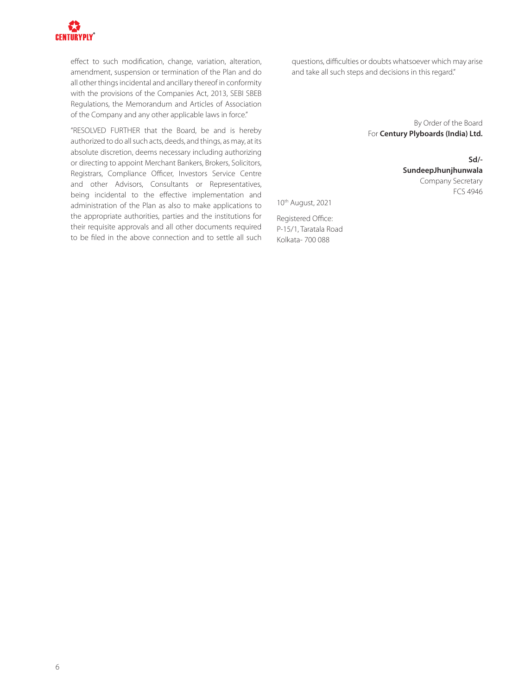

effect to such modification, change, variation, alteration, amendment, suspension or termination of the Plan and do all other things incidental and ancillary thereof in conformity with the provisions of the Companies Act, 2013, SEBI SBEB Regulations, the Memorandum and Articles of Association of the Company and any other applicable laws in force."

"RESOLVED FURTHER that the Board, be and is hereby authorized to do all such acts, deeds, and things, as may, at its absolute discretion, deems necessary including authorizing or directing to appoint Merchant Bankers, Brokers, Solicitors, Registrars, Compliance Officer, Investors Service Centre and other Advisors, Consultants or Representatives, being incidental to the effective implementation and administration of the Plan as also to make applications to the appropriate authorities, parties and the institutions for their requisite approvals and all other documents required to be filed in the above connection and to settle all such questions, difficulties or doubts whatsoever which may arise and take all such steps and decisions in this regard."

> By Order of the Board For **Century Plyboards (India) Ltd.**

> > **Sd/- SundeepJhunjhunwala** Company Secretary FCS 4946

10th August, 2021

Registered Office: P-15/1, Taratala Road Kolkata- 700 088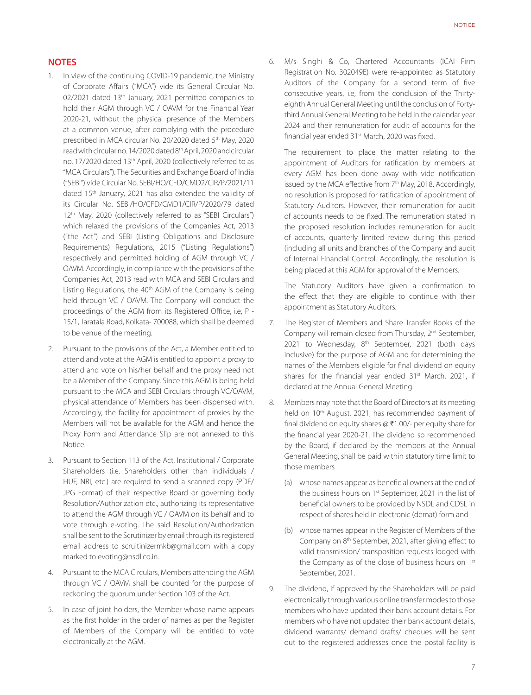#### **NOTES**

- 1. In view of the continuing COVID-19 pandemic, the Ministry of Corporate Affairs ("MCA") vide its General Circular No. 02/2021 dated 13<sup>th</sup> January, 2021 permitted companies to hold their AGM through VC / OAVM for the Financial Year 2020-21, without the physical presence of the Members at a common venue, after complying with the procedure prescribed in MCA circular No. 20/2020 dated 5<sup>th</sup> May, 2020 read with circular no. 14/2020 dated 8th April, 2020 and circular no. 17/2020 dated 13th April, 2020 (collectively referred to as "MCA Circulars"). The Securities and Exchange Board of India ("SEBI") vide Circular No. SEBI/HO/CFD/CMD2/CIR/P/2021/11 dated 15th January, 2021 has also extended the validity of its Circular No. SEBI/HO/CFD/CMD1/CIR/P/2020/79 dated 12<sup>th</sup> May, 2020 (collectively referred to as "SEBI Circulars") which relaxed the provisions of the Companies Act, 2013 ("the Act") and SEBI (Listing Obligations and Disclosure Requirements) Regulations, 2015 ("Listing Regulations") respectively and permitted holding of AGM through VC / OAVM. Accordingly, in compliance with the provisions of the Companies Act, 2013 read with MCA and SEBI Circulars and Listing Regulations, the 40<sup>th</sup> AGM of the Company is being held through VC / OAVM. The Company will conduct the proceedings of the AGM from its Registered Office, i.e, P - 15/1, Taratala Road, Kolkata- 700088, which shall be deemed to be venue of the meeting.
- 2. Pursuant to the provisions of the Act, a Member entitled to attend and vote at the AGM is entitled to appoint a proxy to attend and vote on his/her behalf and the proxy need not be a Member of the Company. Since this AGM is being held pursuant to the MCA and SEBI Circulars through VC/OAVM, physical attendance of Members has been dispensed with. Accordingly, the facility for appointment of proxies by the Members will not be available for the AGM and hence the Proxy Form and Attendance Slip are not annexed to this Notice.
- 3. Pursuant to Section 113 of the Act, Institutional / Corporate Shareholders (i.e. Shareholders other than individuals / HUF, NRI, etc.) are required to send a scanned copy (PDF/ JPG Format) of their respective Board or governing body Resolution/Authorization etc., authorizing its representative to attend the AGM through VC / OAVM on its behalf and to vote through e-voting. The said Resolution/Authorization shall be sent to the Scrutinizer by email through its registered email address to scruitinizermkb@gmail.com with a copy marked to evoting@nsdl.co.in.
- 4. Pursuant to the MCA Circulars, Members attending the AGM through VC / OAVM shall be counted for the purpose of reckoning the quorum under Section 103 of the Act.
- 5. In case of joint holders, the Member whose name appears as the first holder in the order of names as per the Register of Members of the Company will be entitled to vote electronically at the AGM.

6. M/s Singhi & Co, Chartered Accountants (ICAI Firm Registration No. 302049E) were re-appointed as Statutory Auditors of the Company for a second term of five consecutive years, i.e, from the conclusion of the Thirtyeighth Annual General Meeting until the conclusion of Fortythird Annual General Meeting to be held in the calendar year 2024 and their remuneration for audit of accounts for the financial year ended 31st March, 2020 was fixed.

The requirement to place the matter relating to the appointment of Auditors for ratification by members at every AGM has been done away with vide notification issued by the MCA effective from 7<sup>th</sup> May, 2018. Accordingly, no resolution is proposed for ratification of appointment of Statutory Auditors. However, their remuneration for audit of accounts needs to be fixed. The remuneration stated in the proposed resolution includes remuneration for audit of accounts, quarterly limited review during this period (including all units and branches of the Company and audit of Internal Financial Control. Accordingly, the resolution is being placed at this AGM for approval of the Members.

The Statutory Auditors have given a confirmation to the effect that they are eligible to continue with their appointment as Statutory Auditors.

- 7. The Register of Members and Share Transfer Books of the Company will remain closed from Thursday, 2<sup>nd</sup> September, 2021 to Wednesday, 8<sup>th</sup> September, 2021 (both days inclusive) for the purpose of AGM and for determining the names of the Members eligible for final dividend on equity shares for the financial year ended 31<sup>st</sup> March, 2021, if declared at the Annual General Meeting.
- 8. Members may note that the Board of Directors at its meeting held on 10<sup>th</sup> August, 2021, has recommended payment of final dividend on equity shares  $\varpi$  ₹1.00/- per equity share for the financial year 2020-21. The dividend so recommended by the Board, if declared by the members at the Annual General Meeting, shall be paid within statutory time limit to those members
	- (a) whose names appear as beneficial owners at the end of the business hours on 1<sup>st</sup> September, 2021 in the list of beneficial owners to be provided by NSDL and CDSL in respect of shares held in electronic (demat) form and
	- (b) whose names appear in the Register of Members of the Company on 8th September, 2021, after giving effect to valid transmission/ transposition requests lodged with the Company as of the close of business hours on 1<sup>st</sup> September, 2021.
- 9. The dividend, if approved by the Shareholders will be paid electronically through various online transfer modes to those members who have updated their bank account details. For members who have not updated their bank account details, dividend warrants/ demand drafts/ cheques will be sent out to the registered addresses once the postal facility is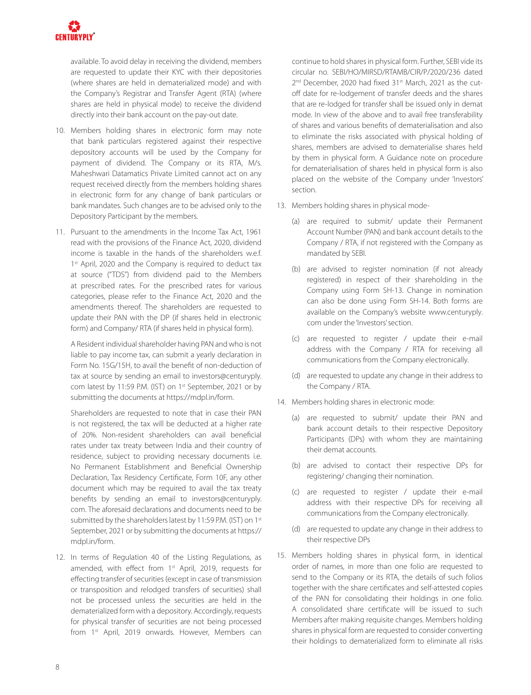

available. To avoid delay in receiving the dividend, members are requested to update their KYC with their depositories (where shares are held in dematerialized mode) and with the Company's Registrar and Transfer Agent (RTA) (where shares are held in physical mode) to receive the dividend directly into their bank account on the pay-out date.

- 10. Members holding shares in electronic form may note that bank particulars registered against their respective depository accounts will be used by the Company for payment of dividend. The Company or its RTA, M/s. Maheshwari Datamatics Private Limited cannot act on any request received directly from the members holding shares in electronic form for any change of bank particulars or bank mandates. Such changes are to be advised only to the Depository Participant by the members.
- 11. Pursuant to the amendments in the Income Tax Act, 1961 read with the provisions of the Finance Act, 2020, dividend income is taxable in the hands of the shareholders w.e.f. 1<sup>st</sup> April, 2020 and the Company is required to deduct tax at source ("TDS") from dividend paid to the Members at prescribed rates. For the prescribed rates for various categories, please refer to the Finance Act, 2020 and the amendments thereof. The shareholders are requested to update their PAN with the DP (if shares held in electronic form) and Company/ RTA (if shares held in physical form).

A Resident individual shareholder having PAN and who is not liable to pay income tax, can submit a yearly declaration in Form No. 15G/15H, to avail the benefit of non-deduction of tax at source by sending an email to investors@centuryply. com latest by 11:59 P.M. (IST) on 1st September, 2021 or by submitting the documents at https://mdpl.in/form.

Shareholders are requested to note that in case their PAN is not registered, the tax will be deducted at a higher rate of 20%. Non-resident shareholders can avail beneficial rates under tax treaty between India and their country of residence, subject to providing necessary documents i.e. No Permanent Establishment and Beneficial Ownership Declaration, Tax Residency Certificate, Form 10F, any other document which may be required to avail the tax treaty benefits by sending an email to investors@centuryply. com. The aforesaid declarations and documents need to be submitted by the shareholders latest by 11:59 P.M. (IST) on 1st September, 2021 or by submitting the documents at https:// mdpl.in/form.

12. In terms of Regulation 40 of the Listing Regulations, as amended, with effect from 1<sup>st</sup> April, 2019, requests for effecting transfer of securities (except in case of transmission or transposition and relodged transfers of securities) shall not be processed unless the securities are held in the dematerialized form with a depository. Accordingly, requests for physical transfer of securities are not being processed from 1<sup>st</sup> April, 2019 onwards. However, Members can continue to hold shares in physical form. Further, SEBI vide its circular no. SEBI/HO/MIRSD/RTAMB/CIR/P/2020/236 dated 2<sup>nd</sup> December, 2020 had fixed 31<sup>st</sup> March, 2021 as the cutoff date for re-lodgement of transfer deeds and the shares that are re-lodged for transfer shall be issued only in demat mode. In view of the above and to avail free transferability of shares and various benefits of dematerialisation and also to eliminate the risks associated with physical holding of shares, members are advised to dematerialise shares held by them in physical form. A Guidance note on procedure for dematerialisation of shares held in physical form is also placed on the website of the Company under 'Investors' section.

- 13. Members holding shares in physical mode-
	- (a) are required to submit/ update their Permanent Account Number (PAN) and bank account details to the Company / RTA, if not registered with the Company as mandated by SEBI.
	- (b) are advised to register nomination (if not already registered) in respect of their shareholding in the Company using Form SH-13. Change in nomination can also be done using Form SH-14. Both forms are available on the Company's website www.centuryply. com under the 'Investors' section.
	- (c) are requested to register / update their e-mail address with the Company / RTA for receiving all communications from the Company electronically.
	- (d) are requested to update any change in their address to the Company / RTA.
- 14. Members holding shares in electronic mode:
	- (a) are requested to submit/ update their PAN and bank account details to their respective Depository Participants (DPs) with whom they are maintaining their demat accounts.
	- (b) are advised to contact their respective DPs for registering/ changing their nomination.
	- (c) are requested to register / update their e-mail address with their respective DPs for receiving all communications from the Company electronically.
	- (d) are requested to update any change in their address to their respective DPs
- 15. Members holding shares in physical form, in identical order of names, in more than one folio are requested to send to the Company or its RTA, the details of such folios together with the share certificates and self-attested copies of the PAN for consolidating their holdings in one folio. A consolidated share certificate will be issued to such Members after making requisite changes. Members holding shares in physical form are requested to consider converting their holdings to dematerialized form to eliminate all risks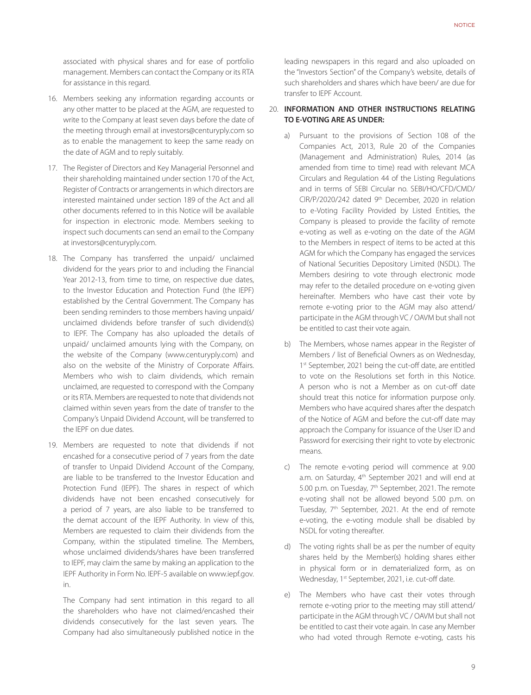associated with physical shares and for ease of portfolio management. Members can contact the Company or its RTA for assistance in this regard.

- 16. Members seeking any information regarding accounts or any other matter to be placed at the AGM, are requested to write to the Company at least seven days before the date of the meeting through email at investors@centuryply.com so as to enable the management to keep the same ready on the date of AGM and to reply suitably.
- 17. The Register of Directors and Key Managerial Personnel and their shareholding maintained under section 170 of the Act, Register of Contracts or arrangements in which directors are interested maintained under section 189 of the Act and all other documents referred to in this Notice will be available for inspection in electronic mode. Members seeking to inspect such documents can send an email to the Company at investors@centuryply.com.
- 18. The Company has transferred the unpaid/ unclaimed dividend for the years prior to and including the Financial Year 2012-13, from time to time, on respective due dates, to the Investor Education and Protection Fund (the IEPF) established by the Central Government. The Company has been sending reminders to those members having unpaid/ unclaimed dividends before transfer of such dividend(s) to IEPF. The Company has also uploaded the details of unpaid/ unclaimed amounts lying with the Company, on the website of the Company (www.centuryply.com) and also on the website of the Ministry of Corporate Affairs. Members who wish to claim dividends, which remain unclaimed, are requested to correspond with the Company or its RTA. Members are requested to note that dividends not claimed within seven years from the date of transfer to the Company's Unpaid Dividend Account, will be transferred to the IEPF on due dates.
- 19. Members are requested to note that dividends if not encashed for a consecutive period of 7 years from the date of transfer to Unpaid Dividend Account of the Company, are liable to be transferred to the Investor Education and Protection Fund (IEPF). The shares in respect of which dividends have not been encashed consecutively for a period of 7 years, are also liable to be transferred to the demat account of the IEPF Authority. In view of this, Members are requested to claim their dividends from the Company, within the stipulated timeline. The Members, whose unclaimed dividends/shares have been transferred to IEPF, may claim the same by making an application to the IEPF Authority in Form No. IEPF-5 available on www.iepf.gov. in.

The Company had sent intimation in this regard to all the shareholders who have not claimed/encashed their dividends consecutively for the last seven years. The Company had also simultaneously published notice in the

leading newspapers in this regard and also uploaded on the "Investors Section" of the Company's website, details of such shareholders and shares which have been/ are due for transfer to IEPF Account.

#### 20. **INFORMATION AND OTHER INSTRUCTIONS RELATING TO E-VOTING ARE AS UNDER:**

- a) Pursuant to the provisions of Section 108 of the Companies Act, 2013, Rule 20 of the Companies (Management and Administration) Rules, 2014 (as amended from time to time) read with relevant MCA Circulars and Regulation 44 of the Listing Regulations and in terms of SEBI Circular no. SEBI/HO/CFD/CMD/ CIR/P/2020/242 dated 9th December, 2020 in relation to e-Voting Facility Provided by Listed Entities, the Company is pleased to provide the facility of remote e-voting as well as e-voting on the date of the AGM to the Members in respect of items to be acted at this AGM for which the Company has engaged the services of National Securities Depository Limited (NSDL). The Members desiring to vote through electronic mode may refer to the detailed procedure on e-voting given hereinafter. Members who have cast their vote by remote e-voting prior to the AGM may also attend/ participate in the AGM through VC / OAVM but shall not be entitled to cast their vote again.
- b) The Members, whose names appear in the Register of Members / list of Beneficial Owners as on Wednesday, 1 st September, 2021 being the cut-off date, are entitled to vote on the Resolutions set forth in this Notice. A person who is not a Member as on cut-off date should treat this notice for information purpose only. Members who have acquired shares after the despatch of the Notice of AGM and before the cut-off date may approach the Company for issuance of the User ID and Password for exercising their right to vote by electronic means.
- c) The remote e-voting period will commence at 9.00 a.m. on Saturday, 4<sup>th</sup> September 2021 and will end at 5.00 p.m. on Tuesday, 7<sup>th</sup> September, 2021. The remote e-voting shall not be allowed beyond 5.00 p.m. on Tuesday, 7<sup>th</sup> September, 2021. At the end of remote e-voting, the e-voting module shall be disabled by NSDL for voting thereafter.
- d) The voting rights shall be as per the number of equity shares held by the Member(s) holding shares either in physical form or in dematerialized form, as on Wednesday, 1<sup>st</sup> September, 2021, i.e. cut-off date.
- e) The Members who have cast their votes through remote e-voting prior to the meeting may still attend/ participate in the AGM through VC / OAVM but shall not be entitled to cast their vote again. In case any Member who had voted through Remote e-voting, casts his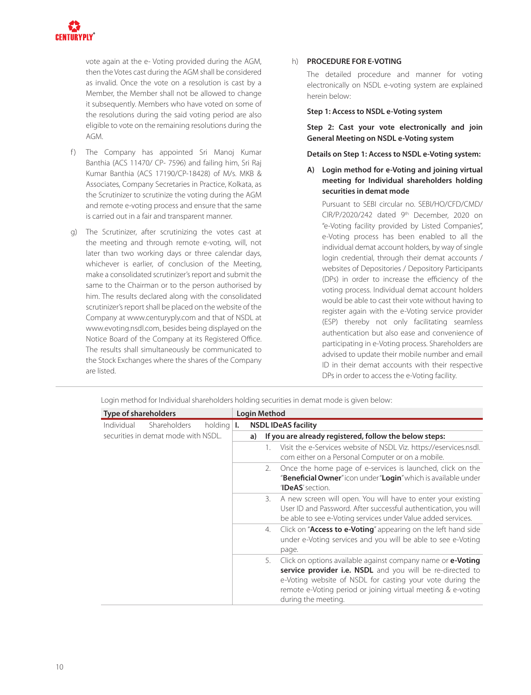

vote again at the e- Voting provided during the AGM, then the Votes cast during the AGM shall be considered as invalid. Once the vote on a resolution is cast by a Member, the Member shall not be allowed to change it subsequently. Members who have voted on some of the resolutions during the said voting period are also eligible to vote on the remaining resolutions during the AGM.

- f) The Company has appointed Sri Manoj Kumar Banthia (ACS 11470/ CP- 7596) and failing him, Sri Raj Kumar Banthia (ACS 17190/CP-18428) of M/s. MKB & Associates, Company Secretaries in Practice, Kolkata, as the Scrutinizer to scrutinize the voting during the AGM and remote e-voting process and ensure that the same is carried out in a fair and transparent manner.
- g) The Scrutinizer, after scrutinizing the votes cast at the meeting and through remote e-voting, will, not later than two working days or three calendar days, whichever is earlier, of conclusion of the Meeting, make a consolidated scrutinizer's report and submit the same to the Chairman or to the person authorised by him. The results declared along with the consolidated scrutinizer's report shall be placed on the website of the Company at www.centuryply.com and that of NSDL at www.evoting.nsdl.com, besides being displayed on the Notice Board of the Company at its Registered Office. The results shall simultaneously be communicated to the Stock Exchanges where the shares of the Company are listed.

#### h) **PROCEDURE FOR E-VOTING**

The detailed procedure and manner for voting electronically on NSDL e-voting system are explained herein below:

#### **Step 1: Access to NSDL e-Voting system**

**Step 2: Cast your vote electronically and join General Meeting on NSDL e-Voting system**

#### **Details on Step 1: Access to NSDL e-Voting system:**

**A) Login method for e-Voting and joining virtual meeting for Individual shareholders holding securities in demat mode**

Pursuant to SEBI circular no. SEBI/HO/CFD/CMD/ CIR/P/2020/242 dated 9th December, 2020 on "e-Voting facility provided by Listed Companies", e-Voting process has been enabled to all the individual demat account holders, by way of single login credential, through their demat accounts / websites of Depositories / Depository Participants (DPs) in order to increase the efficiency of the voting process. Individual demat account holders would be able to cast their vote without having to register again with the e-Voting service provider (ESP) thereby not only facilitating seamless authentication but also ease and convenience of participating in e-Voting process. Shareholders are advised to update their mobile number and email ID in their demat accounts with their respective DPs in order to access the e-Voting facility.

| <b>Type of shareholders</b>                         | <b>Login Method</b> |    |                                                                                                                                                                                                                                                                                     |
|-----------------------------------------------------|---------------------|----|-------------------------------------------------------------------------------------------------------------------------------------------------------------------------------------------------------------------------------------------------------------------------------------|
| Shareholders<br>Individual<br>holding $ I_{\cdot} $ |                     |    | <b>NSDL IDeAS facility</b>                                                                                                                                                                                                                                                          |
| securities in demat mode with NSDL.                 | a)                  |    | If you are already registered, follow the below steps:                                                                                                                                                                                                                              |
|                                                     |                     |    | Visit the e-Services website of NSDL Viz. https://eservices.nsdl.<br>com either on a Personal Computer or on a mobile.                                                                                                                                                              |
|                                                     |                     | 2. | Once the home page of e-services is launched, click on the<br>" <b>Beneficial Owner</b> " icon under " <b>Login</b> " which is available under<br>'IDeAS' section.                                                                                                                  |
|                                                     |                     | 3. | A new screen will open. You will have to enter your existing<br>User ID and Password. After successful authentication, you will<br>be able to see e-Voting services under Value added services.                                                                                     |
|                                                     |                     | 4. | Click on " <b>Access to e-Voting</b> " appearing on the left hand side<br>under e-Voting services and you will be able to see e-Voting<br>page.                                                                                                                                     |
|                                                     |                     | 5. | Click on options available against company name or <b>e-Voting</b><br>service provider i.e. NSDL and you will be re-directed to<br>e-Voting website of NSDL for casting your vote during the<br>remote e-Voting period or joining virtual meeting & e-voting<br>during the meeting. |

Login method for Individual shareholders holding securities in demat mode is given below: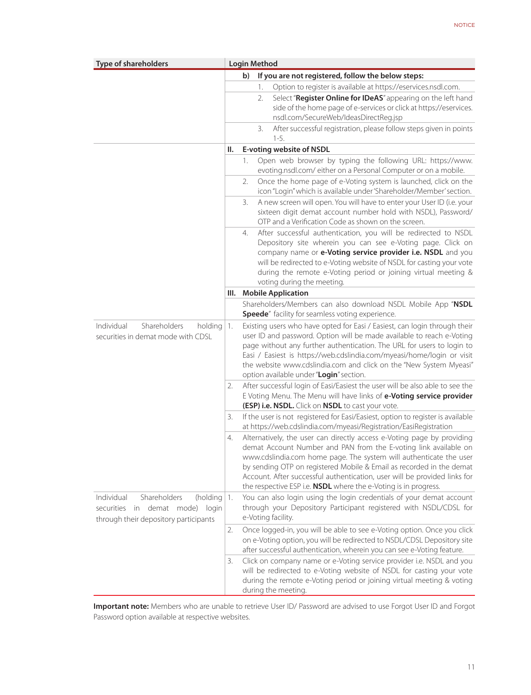| <b>Type of shareholders</b>                                                                                               |    |    | <b>Login Method</b> |                                                                                                                                                                                                                                                                                                                                                                                                                                          |
|---------------------------------------------------------------------------------------------------------------------------|----|----|---------------------|------------------------------------------------------------------------------------------------------------------------------------------------------------------------------------------------------------------------------------------------------------------------------------------------------------------------------------------------------------------------------------------------------------------------------------------|
|                                                                                                                           |    | b) |                     | If you are not registered, follow the below steps:                                                                                                                                                                                                                                                                                                                                                                                       |
|                                                                                                                           |    |    | 1.                  | Option to register is available at https://eservices.nsdl.com.                                                                                                                                                                                                                                                                                                                                                                           |
|                                                                                                                           |    |    | 2.                  | Select "Register Online for IDeAS" appearing on the left hand<br>side of the home page of e-services or click at https://eservices.<br>nsdl.com/SecureWeb/IdeasDirectReg.jsp                                                                                                                                                                                                                                                             |
|                                                                                                                           |    |    | 3.<br>$1-5.$        | After successful registration, please follow steps given in points                                                                                                                                                                                                                                                                                                                                                                       |
|                                                                                                                           | Ш. |    |                     | <b>E-voting website of NSDL</b>                                                                                                                                                                                                                                                                                                                                                                                                          |
|                                                                                                                           |    | 1. |                     | Open web browser by typing the following URL: https://www.<br>evoting.nsdl.com/either on a Personal Computer or on a mobile.                                                                                                                                                                                                                                                                                                             |
|                                                                                                                           |    | 2. |                     | Once the home page of e-Voting system is launched, click on the<br>icon "Login" which is available under 'Shareholder/Member' section.                                                                                                                                                                                                                                                                                                   |
|                                                                                                                           |    | 3. |                     | A new screen will open. You will have to enter your User ID (i.e. your<br>sixteen digit demat account number hold with NSDL), Password/<br>OTP and a Verification Code as shown on the screen.                                                                                                                                                                                                                                           |
|                                                                                                                           |    | 4. |                     | After successful authentication, you will be redirected to NSDL<br>Depository site wherein you can see e-Voting page. Click on<br>company name or e-Voting service provider i.e. NSDL and you<br>will be redirected to e-Voting website of NSDL for casting your vote<br>during the remote e-Voting period or joining virtual meeting &<br>voting during the meeting.                                                                    |
|                                                                                                                           |    |    |                     | III. Mobile Application                                                                                                                                                                                                                                                                                                                                                                                                                  |
|                                                                                                                           |    |    |                     | Shareholders/Members can also download NSDL Mobile App "NSDL<br>Speede" facility for seamless voting experience.                                                                                                                                                                                                                                                                                                                         |
| Shareholders<br>Individual<br>holding<br>securities in demat mode with CDSL                                               | 1. |    |                     | Existing users who have opted for Easi / Easiest, can login through their<br>user ID and password. Option will be made available to reach e-Voting<br>page without any further authentication. The URL for users to login to<br>Easi / Easiest is https://web.cdslindia.com/myeasi/home/login or visit<br>the website www.cdslindia.com and click on the "New System Myeasi"<br>option available under "Login" section.                  |
|                                                                                                                           | 2. |    |                     | After successful login of Easi/Easiest the user will be also able to see the<br>E Voting Menu. The Menu will have links of e-Voting service provider<br>(ESP) i.e. NSDL. Click on NSDL to cast your vote.                                                                                                                                                                                                                                |
|                                                                                                                           | 3. |    |                     | If the user is not registered for Easi/Easiest, option to register is available<br>at https://web.cdslindia.com/myeasi/Registration/EasiRegistration                                                                                                                                                                                                                                                                                     |
|                                                                                                                           | 4. |    |                     | Alternatively, the user can directly access e-Voting page by providing<br>demat Account Number and PAN from the E-voting link available on<br>www.cdslindia.com home page. The system will authenticate the user<br>by sending OTP on registered Mobile & Email as recorded in the demat<br>Account. After successful authentication, user will be provided links for<br>the respective ESP i.e. NSDL where the e-Voting is in progress. |
| Shareholders<br>Individual<br>(holding $ 1$ .<br>securities in demat mode) login<br>through their depository participants |    |    | e-Voting facility.  | You can also login using the login credentials of your demat account<br>through your Depository Participant registered with NSDL/CDSL for                                                                                                                                                                                                                                                                                                |
|                                                                                                                           | 2. |    |                     | Once logged-in, you will be able to see e-Voting option. Once you click<br>on e-Voting option, you will be redirected to NSDL/CDSL Depository site<br>after successful authentication, wherein you can see e-Voting feature.                                                                                                                                                                                                             |
|                                                                                                                           | 3. |    | during the meeting. | Click on company name or e-Voting service provider i.e. NSDL and you<br>will be redirected to e-Voting website of NSDL for casting your vote<br>during the remote e-Voting period or joining virtual meeting & voting                                                                                                                                                                                                                    |

**Important note:** Members who are unable to retrieve User ID/ Password are advised to use Forgot User ID and Forgot Password option available at respective websites.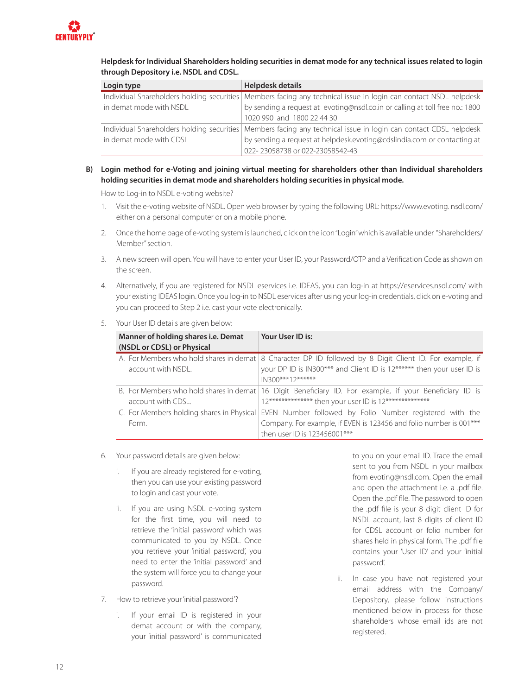

**Helpdesk for Individual Shareholders holding securities in demat mode for any technical issues related to login through Depository i.e. NSDL and CDSL.**

| Login type              | Helpdesk details                                                                                                 |
|-------------------------|------------------------------------------------------------------------------------------------------------------|
|                         | Individual Shareholders holding securities Members facing any technical issue in login can contact NSDL helpdesk |
| in demat mode with NSDL | by sending a request at evoting@nsdl.co.in or calling at toll free no.: 1800                                     |
|                         | 1020 990 and 1800 22 44 30                                                                                       |
|                         | Individual Shareholders holding securities Members facing any technical issue in login can contact CDSL helpdesk |
| in demat mode with CDSL | by sending a request at helpdesk.evoting@cdslindia.com or contacting at                                          |
|                         | 022-23058738 or 022-23058542-43                                                                                  |

#### **B) Login method for e-Voting and joining virtual meeting for shareholders other than Individual shareholders holding securities in demat mode and shareholders holding securities in physical mode.**

How to Log-in to NSDL e-voting website?

- 1. Visit the e-voting website of NSDL. Open web browser by typing the following URL: https://www.evoting. nsdl.com/ either on a personal computer or on a mobile phone.
- 2. Once the home page of e-voting system is launched, click on the icon "Login" which is available under "Shareholders/ Member" section.
- 3. A new screen will open. You will have to enter your User ID, your Password/OTP and a Verification Code as shown on the screen.
- 4. Alternatively, if you are registered for NSDL eservices i.e. IDEAS, you can log-in at https://eservices.nsdl.com/ with your existing IDEAS login. Once you log-in to NSDL eservices after using your log-in credentials, click on e-voting and you can proceed to Step 2 i.e. cast your vote electronically.
- 5. Your User ID details are given below:

| Manner of holding shares i.e. Demat<br>(NSDL or CDSL) or Physical | Your User ID is:                                                                                                                                                                                          |
|-------------------------------------------------------------------|-----------------------------------------------------------------------------------------------------------------------------------------------------------------------------------------------------------|
| account with NSDL.                                                | A. For Members who hold shares in demat   8 Character DP ID followed by 8 Digit Client ID. For example, if<br>your DP ID is IN300*** and Client ID is 12****** then your user ID is<br>$IN300***12******$ |
| account with CDSL.                                                | B. For Members who hold shares in demat   16 Digit Beneficiary ID. For example, if your Beneficiary ID is<br>12************** then your user ID is 12**************                                       |
| Form.                                                             | C. For Members holding shares in Physical EVEN Number followed by Folio Number registered with the<br>Company. For example, if EVEN is 123456 and folio number is 001***<br>then user ID is 123456001***  |

- 6. Your password details are given below:
	- i. If you are already registered for e-voting, then you can use your existing password to login and cast your vote.
	- ii. If you are using NSDL e-voting system for the first time, you will need to retrieve the 'initial password' which was communicated to you by NSDL. Once you retrieve your 'initial password', you need to enter the 'initial password' and the system will force you to change your password.
- 7. How to retrieve your 'initial password'?
	- i. If your email ID is registered in your demat account or with the company, your 'initial password' is communicated

to you on your email ID. Trace the email sent to you from NSDL in your mailbox from evoting@nsdl.com. Open the email and open the attachment i.e. a .pdf file. Open the .pdf file. The password to open the .pdf file is your 8 digit client ID for NSDL account, last 8 digits of client ID for CDSL account or folio number for shares held in physical form. The .pdf file contains your 'User ID' and your 'initial password'.

ii. In case you have not registered your email address with the Company/ Depository, please follow instructions mentioned below in process for those shareholders whose email ids are not registered.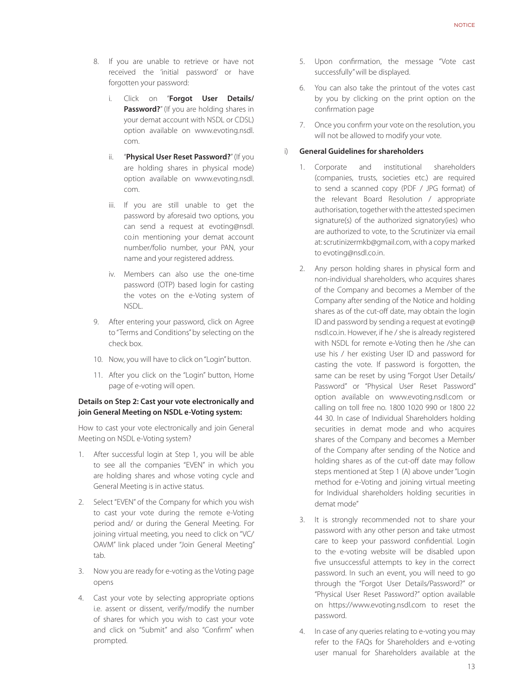- 8. If you are unable to retrieve or have not received the 'initial password' or have forgotten your password:
	- i. Click on "**Forgot User Details/ Password?**" (If you are holding shares in your demat account with NSDL or CDSL) option available on www.evoting.nsdl. com.
	- ii. "**Physical User Reset Password?**" (If you are holding shares in physical mode) option available on www.evoting.nsdl. com.
	- iii. If you are still unable to get the password by aforesaid two options, you can send a request at evoting@nsdl. co.in mentioning your demat account number/folio number, your PAN, your name and your registered address.
	- iv. Members can also use the one-time password (OTP) based login for casting the votes on the e-Voting system of NSDL.
- 9. After entering your password, click on Agree to "Terms and Conditions" by selecting on the check box.
- 10. Now, you will have to click on "Login" button.
- 11. After you click on the "Login" button, Home page of e-voting will open.

#### **Details on Step 2: Cast your vote electronically and join General Meeting on NSDL e-Voting system:**

How to cast your vote electronically and join General Meeting on NSDL e-Voting system?

- 1. After successful login at Step 1, you will be able to see all the companies "EVEN" in which you are holding shares and whose voting cycle and General Meeting is in active status.
- 2. Select "EVEN" of the Company for which you wish to cast your vote during the remote e-Voting period and/ or during the General Meeting. For joining virtual meeting, you need to click on "VC/ OAVM" link placed under "Join General Meeting" tab.
- 3. Now you are ready for e-voting as the Voting page opens
- 4. Cast your vote by selecting appropriate options i.e. assent or dissent, verify/modify the number of shares for which you wish to cast your vote and click on "Submit" and also "Confirm" when prompted.
- 5. Upon confirmation, the message "Vote cast successfully" will be displayed.
- 6. You can also take the printout of the votes cast by you by clicking on the print option on the confirmation page
- 7. Once you confirm your vote on the resolution, you will not be allowed to modify your vote.

#### i) **General Guidelines for shareholders**

- 1. Corporate and institutional shareholders (companies, trusts, societies etc.) are required to send a scanned copy (PDF / JPG format) of the relevant Board Resolution / appropriate authorisation, together with the attested specimen signature(s) of the authorized signatory(ies) who are authorized to vote, to the Scrutinizer via email at: scrutinizermkb@gmail.com, with a copy marked to evoting@nsdl.co.in.
- 2. Any person holding shares in physical form and non-individual shareholders, who acquires shares of the Company and becomes a Member of the Company after sending of the Notice and holding shares as of the cut-off date, may obtain the login ID and password by sending a request at evoting@ nsdl.co.in. However, if he / she is already registered with NSDL for remote e-Voting then he /she can use his / her existing User ID and password for casting the vote. If password is forgotten, the same can be reset by using "Forgot User Details/ Password" or "Physical User Reset Password" option available on www.evoting.nsdl.com or calling on toll free no. 1800 1020 990 or 1800 22 44 30. In case of Individual Shareholders holding securities in demat mode and who acquires shares of the Company and becomes a Member of the Company after sending of the Notice and holding shares as of the cut-off date may follow steps mentioned at Step 1 (A) above under "Login method for e-Voting and joining virtual meeting for Individual shareholders holding securities in demat mode"
- 3. It is strongly recommended not to share your password with any other person and take utmost care to keep your password confidential. Login to the e-voting website will be disabled upon five unsuccessful attempts to key in the correct password. In such an event, you will need to go through the "Forgot User Details/Password?" or "Physical User Reset Password?" option available on https://www.evoting.nsdl.com to reset the password.
- 4. In case of any queries relating to e-voting you may refer to the FAQs for Shareholders and e-voting user manual for Shareholders available at the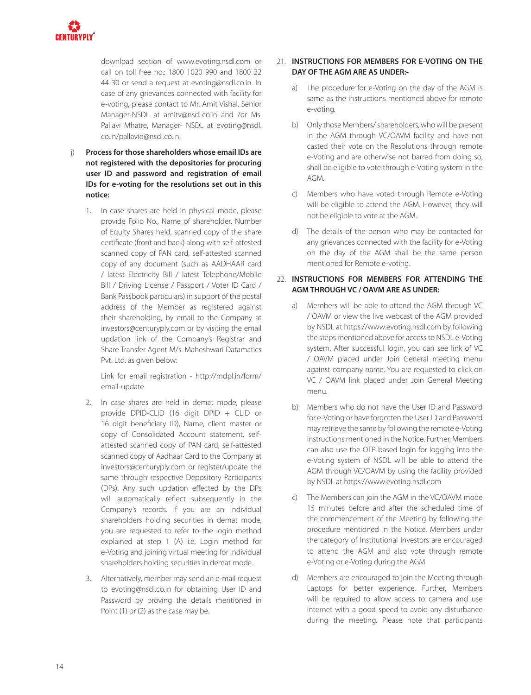

download section of www.evoting.nsdl.com or call on toll free no.: 1800 1020 990 and 1800 22 44 30 or send a request at evoting@nsdl.co.in. In case of any grievances connected with facility for e-voting, please contact to Mr. Amit Vishal, Senior Manager-NSDL at amitv@nsdl.co.in and /or Ms. Pallavi Mhatre, Manager- NSDL at evoting@nsdl. co.in/pallavid@nsdl.co.in.

- j) **Process for those shareholders whose email IDs are not registered with the depositories for procuring user ID and password and registration of email IDs for e-voting for the resolutions set out in this notice:**
	- 1. In case shares are held in physical mode, please provide Folio No., Name of shareholder, Number of Equity Shares held, scanned copy of the share certificate (front and back) along with self-attested scanned copy of PAN card, self-attested scanned copy of any document (such as AADHAAR card / latest Electricity Bill / latest Telephone/Mobile Bill / Driving License / Passport / Voter ID Card / Bank Passbook particulars) in support of the postal address of the Member as registered against their shareholding, by email to the Company at investors@centuryply.com or by visiting the email updation link of the Company's Registrar and Share Transfer Agent M/s. Maheshwari Datamatics Pvt. Ltd. as given below:

Link for email registration - http://mdpl.in/form/ email-update

- 2. In case shares are held in demat mode, please provide DPID-CLID (16 digit DPID + CLID or 16 digit beneficiary ID), Name, client master or copy of Consolidated Account statement, selfattested scanned copy of PAN card, self-attested scanned copy of Aadhaar Card to the Company at investors@centuryply.com or register/update the same through respective Depository Participants (DPs). Any such updation effected by the DPs will automatically reflect subsequently in the Company's records. If you are an Individual shareholders holding securities in demat mode, you are requested to refer to the login method explained at step 1 (A) i.e. Login method for e-Voting and joining virtual meeting for Individual shareholders holding securities in demat mode.
- 3. Alternatively, member may send an e-mail request to evoting@nsdl.co.in for obtaining User ID and Password by proving the details mentioned in Point (1) or (2) as the case may be.

#### 21. **INSTRUCTIONS FOR MEMBERS FOR E-VOTING ON THE DAY OF THE AGM ARE AS UNDER:-**

- a) The procedure for e-Voting on the day of the AGM is same as the instructions mentioned above for remote e-voting.
- b) Only those Members/ shareholders, who will be present in the AGM through VC/OAVM facility and have not casted their vote on the Resolutions through remote e-Voting and are otherwise not barred from doing so, shall be eligible to vote through e-Voting system in the AGM.
- c) Members who have voted through Remote e-Voting will be eligible to attend the AGM. However, they will not be eligible to vote at the AGM.
- d) The details of the person who may be contacted for any grievances connected with the facility for e-Voting on the day of the AGM shall be the same person mentioned for Remote e-voting.

#### 22. **INSTRUCTIONS FOR MEMBERS FOR ATTENDING THE AGM THROUGH VC / OAVM ARE AS UNDER:**

- a) Members will be able to attend the AGM through VC / OAVM or view the live webcast of the AGM provided by NSDL at https://www.evoting.nsdl.com by following the steps mentioned above for access to NSDL e-Voting system. After successful login, you can see link of VC / OAVM placed under Join General meeting menu against company name. You are requested to click on VC / OAVM link placed under Join General Meeting menu.
- b) Members who do not have the User ID and Password for e-Voting or have forgotten the User ID and Password may retrieve the same by following the remote e-Voting instructions mentioned in the Notice. Further, Members can also use the OTP based login for logging into the e-Voting system of NSDL will be able to attend the AGM through VC/OAVM by using the facility provided by NSDL at https://www.evoting.nsdl.com
- c) The Members can join the AGM in the VC/OAVM mode 15 minutes before and after the scheduled time of the commencement of the Meeting by following the procedure mentioned in the Notice. Members under the category of Institutional Investors are encouraged to attend the AGM and also vote through remote e-Voting or e-Voting during the AGM.
- d) Members are encouraged to join the Meeting through Laptops for better experience. Further, Members will be required to allow access to camera and use internet with a good speed to avoid any disturbance during the meeting. Please note that participants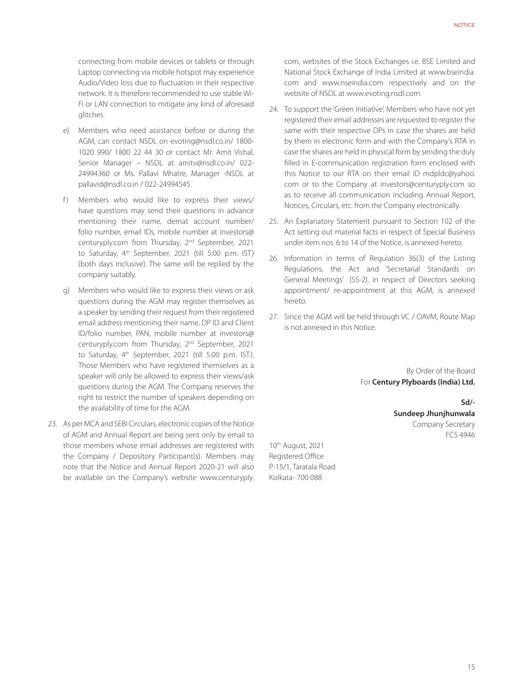connecting from mobile devices or tablets or through Laptop connecting via mobile hotspot may experience Audio/Video loss due to fluctuation in their respective network. It is therefore recommended to use stable Wi-Fi or LAN connection to mitigate any kind of aforesaid glitches.

- e) Members who need assistance before or during the AGM, can contact NSDL on evoting@nsdl.co.in/ 1800- 1020 990/ 1800 22 44 30 or contact Mr. Amit Vishal, Senior Manager – NSDL at amitv@nsdl.co.in/ 022- 24994360 or Ms. Pallavi Mhatre, Manager -NSDL at pallavid@nsdl.co.in / 022-24994545.
- f) Members who would like to express their views/ have questions may send their questions in advance mentioning their name, demat account number/ folio number, email IDs, mobile number at investors@ centuryply.com from Thursday, 2nd September, 2021 to Saturday, 4th September, 2021 (till 5:00 p.m. IST) (both days inclusive). The same will be replied by the company suitably.
- g) Members who would like to express their views or ask questions during the AGM may register themselves as a speaker by sending their request from their registered email address mentioning their name, DP ID and Client ID/folio number, PAN, mobile number at investors@ centuryply.com from Thursday, 2nd September, 2021 to Saturday, 4<sup>th</sup> September, 2021 (till 5:00 p.m. IST). Those Members who have registered themselves as a speaker will only be allowed to express their views/ask questions during the AGM. The Company reserves the right to restrict the number of speakers depending on the availability of time for the AGM.
- 23. As per MCA and SEBI Circulars, electronic copies of the Notice of AGM and Annual Report are being sent only by email to those members whose email addresses are registered with the Company / Depository Participant(s). Members may note that the Notice and Annual Report 2020-21 will also be available on the Company's website www.centuryply.

com, websites of the Stock Exchanges i.e. BSE Limited and National Stock Exchange of India Limited at www.bseindia. com and www.nseindia.com respectively and on the website of NSDL at www.evoting.nsdl.com.

- 24. To support the 'Green Initiative', Members who have not yet registered their email addresses are requested to register the same with their respective DPs in case the shares are held by them in electronic form and with the Company's RTA in case the shares are held in physical form by sending the duly filled in E-communication registration form enclosed with this Notice to our RTA on their email ID mdpldc@yahoo. com or to the Company at investors@centuryply.com so as to receive all communication including Annual Report, Notices, Circulars, etc. from the Company electronically.
- 25. An Explanatory Statement pursuant to Section 102 of the Act setting out material facts in respect of Special Business under item nos. 6 to 14 of the Notice, is annexed hereto.
- 26. Information in terms of Regulation 36(3) of the Listing Regulations, the Act and 'Secretarial Standards on General Meetings' (SS-2), in respect of Directors seeking appointment/ re-appointment at this AGM, is annexed hereto.
- 27. Since the AGM will be held through VC / OAVM, Route Map is not annexed in this Notice.

By Order of the Board For **Century Plyboards (India) Ltd.**

> **Sd/- Sundeep Jhunjhunwala**  Company Secretary FCS 4946

10th August, 2021 Registered Office P-15/1, Taratala Road Kolkata- 700 088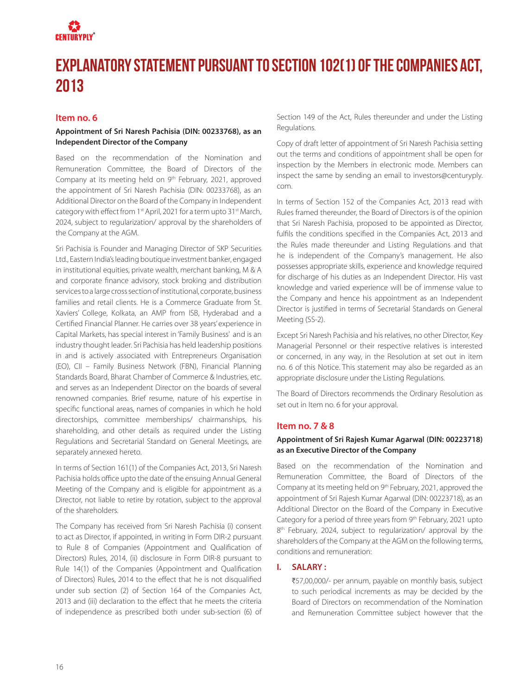

## **Explanatory Statement pursuant to Section 102(1) of the Companies Act, 2013**

#### **Item no. 6**

#### **Appointment of Sri Naresh Pachisia (DIN: 00233768), as an Independent Director of the Company**

Based on the recommendation of the Nomination and Remuneration Committee, the Board of Directors of the Company at its meeting held on 9<sup>th</sup> February, 2021, approved the appointment of Sri Naresh Pachisia (DIN: 00233768), as an Additional Director on the Board of the Company in Independent category with effect from 1<sup>st</sup> April, 2021 for a term upto 31<sup>st</sup> March, 2024, subject to regularization/ approval by the shareholders of the Company at the AGM.

Sri Pachisia is Founder and Managing Director of SKP Securities Ltd., Eastern India's leading boutique investment banker, engaged in institutional equities, private wealth, merchant banking, M & A and corporate finance advisory, stock broking and distribution services to a large cross section of institutional, corporate, business families and retail clients. He is a Commerce Graduate from St. Xaviers' College, Kolkata, an AMP from ISB, Hyderabad and a Certified Financial Planner. He carries over 38 years' experience in Capital Markets, has special interest in 'Family Business' and is an industry thought leader. Sri Pachisia has held leadership positions in and is actively associated with Entrepreneurs Organisation (EO), CII – Family Business Network (FBN), Financial Planning Standards Board, Bharat Chamber of Commerce & Industries, etc. and serves as an Independent Director on the boards of several renowned companies. Brief resume, nature of his expertise in specific functional areas, names of companies in which he hold directorships, committee memberships/ chairmanships, his shareholding, and other details as required under the Listing Regulations and Secretarial Standard on General Meetings, are separately annexed hereto.

In terms of Section 161(1) of the Companies Act, 2013, Sri Naresh Pachisia holds office upto the date of the ensuing Annual General Meeting of the Company and is eligible for appointment as a Director, not liable to retire by rotation, subject to the approval of the shareholders.

The Company has received from Sri Naresh Pachisia (i) consent to act as Director, if appointed, in writing in Form DIR-2 pursuant to Rule 8 of Companies (Appointment and Qualification of Directors) Rules, 2014, (ii) disclosure in Form DIR-8 pursuant to Rule 14(1) of the Companies (Appointment and Qualification of Directors) Rules, 2014 to the effect that he is not disqualified under sub section (2) of Section 164 of the Companies Act, 2013 and (iii) declaration to the effect that he meets the criteria of independence as prescribed both under sub-section (6) of Section 149 of the Act, Rules thereunder and under the Listing Regulations.

Copy of draft letter of appointment of Sri Naresh Pachisia setting out the terms and conditions of appointment shall be open for inspection by the Members in electronic mode. Members can inspect the same by sending an email to investors@centuryply. com.

In terms of Section 152 of the Companies Act, 2013 read with Rules framed thereunder, the Board of Directors is of the opinion that Sri Naresh Pachisia, proposed to be appointed as Director, fulfils the conditions specified in the Companies Act, 2013 and the Rules made thereunder and Listing Regulations and that he is independent of the Company's management. He also possesses appropriate skills, experience and knowledge required for discharge of his duties as an Independent Director. His vast knowledge and varied experience will be of immense value to the Company and hence his appointment as an Independent Director is justified in terms of Secretarial Standards on General Meeting (SS-2).

Except Sri Naresh Pachisia and his relatives, no other Director, Key Managerial Personnel or their respective relatives is interested or concerned, in any way, in the Resolution at set out in item no. 6 of this Notice. This statement may also be regarded as an appropriate disclosure under the Listing Regulations.

The Board of Directors recommends the Ordinary Resolution as set out in Item no. 6 for your approval.

#### **Item no. 7 & 8**

#### **Appointment of Sri Rajesh Kumar Agarwal (DIN: 00223718) as an Executive Director of the Company**

Based on the recommendation of the Nomination and Remuneration Committee, the Board of Directors of the Company at its meeting held on 9<sup>th</sup> February, 2021, approved the appointment of Sri Rajesh Kumar Agarwal (DIN: 00223718), as an Additional Director on the Board of the Company in Executive Category for a period of three years from 9th February, 2021 upto 8<sup>th</sup> February, 2024, subject to regularization/ approval by the shareholders of the Company at the AGM on the following terms, conditions and remuneration:

#### **I. SALARY :**

₹57,00,000/- per annum, payable on monthly basis, subject to such periodical increments as may be decided by the Board of Directors on recommendation of the Nomination and Remuneration Committee subject however that the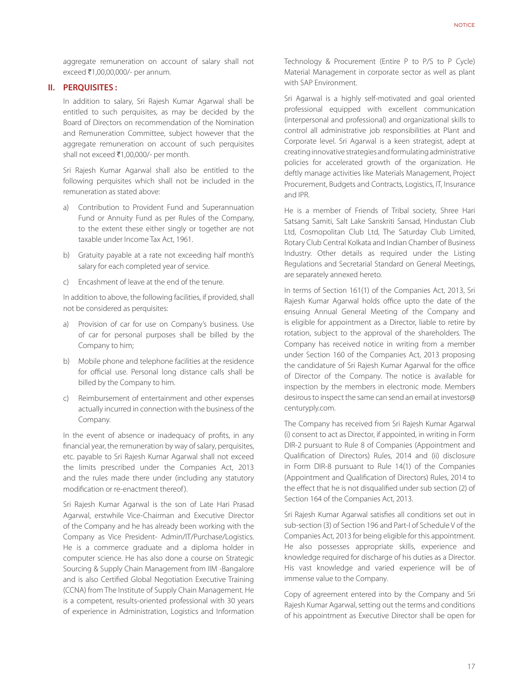aggregate remuneration on account of salary shall not exceed ₹1,00,00,000/- per annum.

#### **II. PERQUISITES :**

In addition to salary, Sri Rajesh Kumar Agarwal shall be entitled to such perquisites, as may be decided by the Board of Directors on recommendation of the Nomination and Remuneration Committee, subject however that the aggregate remuneration on account of such perquisites shall not exceed  $\bar{\tau}$ 1,00,000/- per month.

Sri Rajesh Kumar Agarwal shall also be entitled to the following perquisites which shall not be included in the remuneration as stated above:

- a) Contribution to Provident Fund and Superannuation Fund or Annuity Fund as per Rules of the Company, to the extent these either singly or together are not taxable under Income Tax Act, 1961.
- b) Gratuity payable at a rate not exceeding half month's salary for each completed year of service.
- c) Encashment of leave at the end of the tenure.

In addition to above, the following facilities, if provided, shall not be considered as perquisites:

- a) Provision of car for use on Company's business. Use of car for personal purposes shall be billed by the Company to him;
- b) Mobile phone and telephone facilities at the residence for official use. Personal long distance calls shall be billed by the Company to him.
- c) Reimbursement of entertainment and other expenses actually incurred in connection with the business of the Company.

In the event of absence or inadequacy of profits, in any financial year, the remuneration by way of salary, perquisites, etc. payable to Sri Rajesh Kumar Agarwal shall not exceed the limits prescribed under the Companies Act, 2013 and the rules made there under (including any statutory modification or re-enactment thereof ).

Sri Rajesh Kumar Agarwal is the son of Late Hari Prasad Agarwal, erstwhile Vice-Chairman and Executive Director of the Company and he has already been working with the Company as Vice President- Admin/IT/Purchase/Logistics. He is a commerce graduate and a diploma holder in computer science. He has also done a course on Strategic Sourcing & Supply Chain Management from IIM -Bangalore and is also Certified Global Negotiation Executive Training (CCNA) from The Institute of Supply Chain Management. He is a competent, results-oriented professional with 30 years of experience in Administration, Logistics and Information

Technology & Procurement (Entire P to P/S to P Cycle) Material Management in corporate sector as well as plant with SAP Environment.

Sri Agarwal is a highly self-motivated and goal oriented professional equipped with excellent communication (interpersonal and professional) and organizational skills to control all administrative job responsibilities at Plant and Corporate level. Sri Agarwal is a keen strategist, adept at creating innovative strategies and formulating administrative policies for accelerated growth of the organization. He deftly manage activities like Materials Management, Project Procurement, Budgets and Contracts, Logistics, IT, Insurance and IPR.

He is a member of Friends of Tribal society, Shree Hari Satsang Samiti, Salt Lake Sanskriti Sansad, Hindustan Club Ltd, Cosmopolitan Club Ltd, The Saturday Club Limited, Rotary Club Central Kolkata and Indian Chamber of Business Industry. Other details as required under the Listing Regulations and Secretarial Standard on General Meetings, are separately annexed hereto.

In terms of Section 161(1) of the Companies Act, 2013, Sri Rajesh Kumar Agarwal holds office upto the date of the ensuing Annual General Meeting of the Company and is eligible for appointment as a Director, liable to retire by rotation, subject to the approval of the shareholders. The Company has received notice in writing from a member under Section 160 of the Companies Act, 2013 proposing the candidature of Sri Rajesh Kumar Agarwal for the office of Director of the Company. The notice is available for inspection by the members in electronic mode. Members desirous to inspect the same can send an email at investors@ centuryply.com.

The Company has received from Sri Rajesh Kumar Agarwal (i) consent to act as Director, if appointed, in writing in Form DIR-2 pursuant to Rule 8 of Companies (Appointment and Qualification of Directors) Rules, 2014 and (ii) disclosure in Form DIR-8 pursuant to Rule 14(1) of the Companies (Appointment and Qualification of Directors) Rules, 2014 to the effect that he is not disqualified under sub section (2) of Section 164 of the Companies Act, 2013.

Sri Rajesh Kumar Agarwal satisfies all conditions set out in sub-section (3) of Section 196 and Part-I of Schedule V of the Companies Act, 2013 for being eligible for this appointment. He also possesses appropriate skills, experience and knowledge required for discharge of his duties as a Director. His vast knowledge and varied experience will be of immense value to the Company.

Copy of agreement entered into by the Company and Sri Rajesh Kumar Agarwal, setting out the terms and conditions of his appointment as Executive Director shall be open for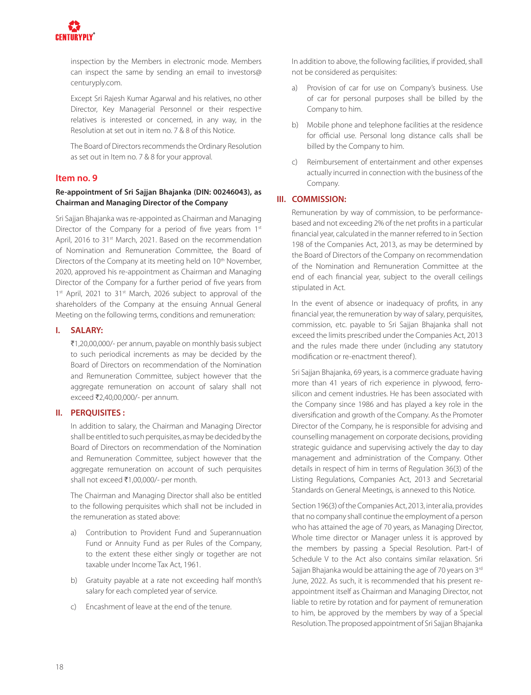

inspection by the Members in electronic mode. Members can inspect the same by sending an email to investors@ centuryply.com.

Except Sri Rajesh Kumar Agarwal and his relatives, no other Director, Key Managerial Personnel or their respective relatives is interested or concerned, in any way, in the Resolution at set out in item no. 7 & 8 of this Notice.

The Board of Directors recommends the Ordinary Resolution as set out in Item no. 7 & 8 for your approval.

#### **Item no. 9**

#### **Re-appointment of Sri Sajjan Bhajanka (DIN: 00246043), as Chairman and Managing Director of the Company**

Sri Sajjan Bhajanka was re-appointed as Chairman and Managing Director of the Company for a period of five years from  $1<sup>st</sup>$ April, 2016 to 31<sup>st</sup> March, 2021. Based on the recommendation of Nomination and Remuneration Committee, the Board of Directors of the Company at its meeting held on 10<sup>th</sup> November, 2020, approved his re-appointment as Chairman and Managing Director of the Company for a further period of five years from 1<sup>st</sup> April, 2021 to 31<sup>st</sup> March, 2026 subject to approval of the shareholders of the Company at the ensuing Annual General Meeting on the following terms, conditions and remuneration:

#### **I. SALARY:**

₹1,20,00,000/- per annum, payable on monthly basis subject to such periodical increments as may be decided by the Board of Directors on recommendation of the Nomination and Remuneration Committee, subject however that the aggregate remuneration on account of salary shall not exceed ₹2,40,00,000/- per annum.

#### **II. PERQUISITES :**

In addition to salary, the Chairman and Managing Director shall be entitled to such perquisites, as may be decided by the Board of Directors on recommendation of the Nomination and Remuneration Committee, subject however that the aggregate remuneration on account of such perquisites shall not exceed ₹1,00,000/- per month.

The Chairman and Managing Director shall also be entitled to the following perquisites which shall not be included in the remuneration as stated above:

- a) Contribution to Provident Fund and Superannuation Fund or Annuity Fund as per Rules of the Company, to the extent these either singly or together are not taxable under Income Tax Act, 1961.
- b) Gratuity payable at a rate not exceeding half month's salary for each completed year of service.
- c) Encashment of leave at the end of the tenure.

In addition to above, the following facilities, if provided, shall not be considered as perquisites:

- a) Provision of car for use on Company's business. Use of car for personal purposes shall be billed by the Company to him.
- b) Mobile phone and telephone facilities at the residence for official use. Personal long distance calls shall be billed by the Company to him.
- c) Reimbursement of entertainment and other expenses actually incurred in connection with the business of the Company.

#### **III. COMMISSION:**

Remuneration by way of commission, to be performancebased and not exceeding 2% of the net profits in a particular financial year, calculated in the manner referred to in Section 198 of the Companies Act, 2013, as may be determined by the Board of Directors of the Company on recommendation of the Nomination and Remuneration Committee at the end of each financial year, subject to the overall ceilings stipulated in Act.

In the event of absence or inadequacy of profits, in any financial year, the remuneration by way of salary, perquisites, commission, etc. payable to Sri Sajjan Bhajanka shall not exceed the limits prescribed under the Companies Act, 2013 and the rules made there under (including any statutory modification or re-enactment thereof).

Sri Sajjan Bhajanka, 69 years, is a commerce graduate having more than 41 years of rich experience in plywood, ferrosilicon and cement industries. He has been associated with the Company since 1986 and has played a key role in the diversification and growth of the Company. As the Promoter Director of the Company, he is responsible for advising and counselling management on corporate decisions, providing strategic guidance and supervising actively the day to day management and administration of the Company. Other details in respect of him in terms of Regulation 36(3) of the Listing Regulations, Companies Act, 2013 and Secretarial Standards on General Meetings, is annexed to this Notice.

Section 196(3) of the Companies Act, 2013, inter alia, provides that no company shall continue the employment of a person who has attained the age of 70 years, as Managing Director, Whole time director or Manager unless it is approved by the members by passing a Special Resolution. Part-I of Schedule V to the Act also contains similar relaxation. Sri Sajjan Bhajanka would be attaining the age of 70 years on 3rd June, 2022. As such, it is recommended that his present reappointment itself as Chairman and Managing Director, not liable to retire by rotation and for payment of remuneration to him, be approved by the members by way of a Special Resolution. The proposed appointment of Sri Sajjan Bhajanka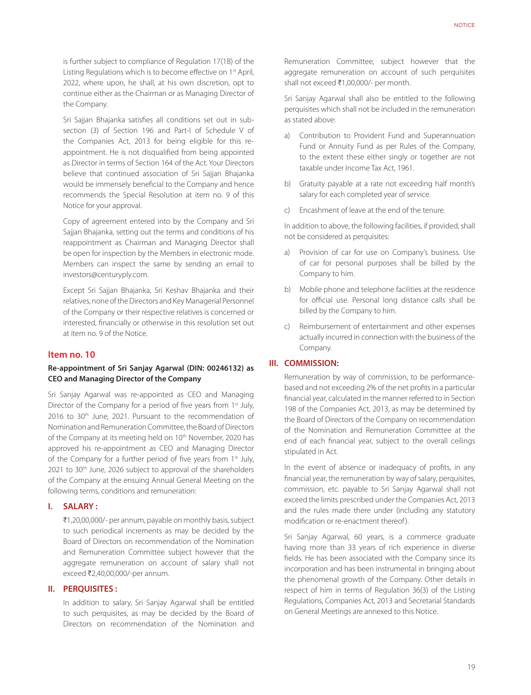is further subject to compliance of Regulation 17(1B) of the Listing Regulations which is to become effective on 1st April, 2022, where upon, he shall, at his own discretion, opt to continue either as the Chairman or as Managing Director of the Company.

Sri Sajjan Bhajanka satisfies all conditions set out in subsection (3) of Section 196 and Part-I of Schedule V of the Companies Act, 2013 for being eligible for this reappointment. He is not disqualified from being appointed as Director in terms of Section 164 of the Act. Your Directors believe that continued association of Sri Sajjan Bhajanka would be immensely beneficial to the Company and hence recommends the Special Resolution at item no. 9 of this Notice for your approval.

Copy of agreement entered into by the Company and Sri Sajjan Bhajanka, setting out the terms and conditions of his reappointment as Chairman and Managing Director shall be open for inspection by the Members in electronic mode. Members can inspect the same by sending an email to investors@centuryply.com.

Except Sri Sajjan Bhajanka, Sri Keshav Bhajanka and their relatives, none of the Directors and Key Managerial Personnel of the Company or their respective relatives is concerned or interested, financially or otherwise in this resolution set out at item no. 9 of the Notice.

#### **Item no. 10**

#### **Re-appointment of Sri Sanjay Agarwal (DIN: 00246132) as CEO and Managing Director of the Company**

Sri Sanjay Agarwal was re-appointed as CEO and Managing Director of the Company for a period of five years from 1<sup>st</sup> July, 2016 to 30<sup>th</sup> June, 2021. Pursuant to the recommendation of Nomination and Remuneration Committee, the Board of Directors of the Company at its meeting held on 10<sup>th</sup> November, 2020 has approved his re-appointment as CEO and Managing Director of the Company for a further period of five years from 1<sup>st</sup> July, 2021 to 30<sup>th</sup> June, 2026 subject to approval of the shareholders of the Company at the ensuing Annual General Meeting on the following terms, conditions and remuneration:

#### **I. SALARY :**

₹1,20,00,000/- per annum, payable on monthly basis, subject to such periodical increments as may be decided by the Board of Directors on recommendation of the Nomination and Remuneration Committee subject however that the aggregate remuneration on account of salary shall not exceed ₹2,40,00,000/-per annum.

#### **II. PERQUISITES :**

In addition to salary, Sri Sanjay Agarwal shall be entitled to such perquisites, as may be decided by the Board of Directors on recommendation of the Nomination and

Remuneration Committee, subject however that the aggregate remuneration on account of such perquisites shall not exceed ₹1,00,000/- per month.

Sri Sanjay Agarwal shall also be entitled to the following perquisites which shall not be included in the remuneration as stated above:

- a) Contribution to Provident Fund and Superannuation Fund or Annuity Fund as per Rules of the Company, to the extent these either singly or together are not taxable under Income Tax Act, 1961.
- b) Gratuity payable at a rate not exceeding half month's salary for each completed year of service.
- c) Encashment of leave at the end of the tenure.

In addition to above, the following facilities, if provided, shall not be considered as perquisites:

- a) Provision of car for use on Company's business. Use of car for personal purposes shall be billed by the Company to him.
- b) Mobile phone and telephone facilities at the residence for official use. Personal long distance calls shall be billed by the Company to him.
- c) Reimbursement of entertainment and other expenses actually incurred in connection with the business of the Company.

#### **III. COMMISSION:**

Remuneration by way of commission, to be performancebased and not exceeding 2% of the net profits in a particular financial year, calculated in the manner referred to in Section 198 of the Companies Act, 2013, as may be determined by the Board of Directors of the Company on recommendation of the Nomination and Remuneration Committee at the end of each financial year, subject to the overall ceilings stipulated in Act.

In the event of absence or inadequacy of profits, in any financial year, the remuneration by way of salary, perquisites, commission, etc. payable to Sri Sanjay Agarwal shall not exceed the limits prescribed under the Companies Act, 2013 and the rules made there under (including any statutory modification or re-enactment thereof).

Sri Sanjay Agarwal, 60 years, is a commerce graduate having more than 33 years of rich experience in diverse fields. He has been associated with the Company since its incorporation and has been instrumental in bringing about the phenomenal growth of the Company. Other details in respect of him in terms of Regulation 36(3) of the Listing Regulations, Companies Act, 2013 and Secretarial Standards on General Meetings are annexed to this Notice.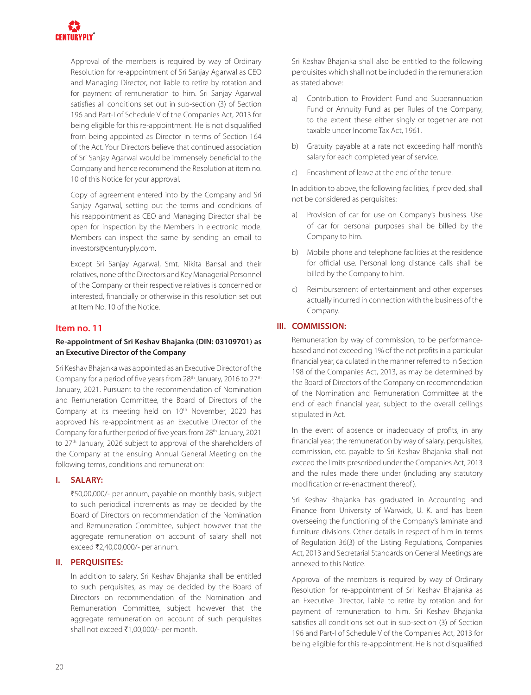

Approval of the members is required by way of Ordinary Resolution for re-appointment of Sri Sanjay Agarwal as CEO and Managing Director, not liable to retire by rotation and for payment of remuneration to him. Sri Sanjay Agarwal satisfies all conditions set out in sub-section (3) of Section 196 and Part-I of Schedule V of the Companies Act, 2013 for being eligible for this re-appointment. He is not disqualified from being appointed as Director in terms of Section 164 of the Act. Your Directors believe that continued association of Sri Sanjay Agarwal would be immensely beneficial to the Company and hence recommend the Resolution at item no. 10 of this Notice for your approval.

Copy of agreement entered into by the Company and Sri Sanjay Agarwal, setting out the terms and conditions of his reappointment as CEO and Managing Director shall be open for inspection by the Members in electronic mode. Members can inspect the same by sending an email to investors@centuryply.com.

Except Sri Sanjay Agarwal, Smt. Nikita Bansal and their relatives, none of the Directors and Key Managerial Personnel of the Company or their respective relatives is concerned or interested, financially or otherwise in this resolution set out at Item No. 10 of the Notice.

#### **Item no. 11**

#### **Re-appointment of Sri Keshav Bhajanka (DIN: 03109701) as an Executive Director of the Company**

Sri Keshav Bhajanka was appointed as an Executive Director of the Company for a period of five years from  $28<sup>th</sup>$  January, 2016 to  $27<sup>th</sup>$ January, 2021. Pursuant to the recommendation of Nomination and Remuneration Committee, the Board of Directors of the Company at its meeting held on 10<sup>th</sup> November, 2020 has approved his re-appointment as an Executive Director of the Company for a further period of five years from 28th January, 2021 to 27th January, 2026 subject to approval of the shareholders of the Company at the ensuing Annual General Meeting on the following terms, conditions and remuneration:

#### **I. SALARY:**

₹50,00,000/- per annum, payable on monthly basis, subject to such periodical increments as may be decided by the Board of Directors on recommendation of the Nomination and Remuneration Committee, subject however that the aggregate remuneration on account of salary shall not exceed ₹2,40,00,000/- per annum.

#### **II. PERQUISITES:**

In addition to salary, Sri Keshav Bhajanka shall be entitled to such perquisites, as may be decided by the Board of Directors on recommendation of the Nomination and Remuneration Committee, subject however that the aggregate remuneration on account of such perquisites shall not exceed ₹1,00,000/- per month.

Sri Keshav Bhajanka shall also be entitled to the following perquisites which shall not be included in the remuneration as stated above:

- a) Contribution to Provident Fund and Superannuation Fund or Annuity Fund as per Rules of the Company, to the extent these either singly or together are not taxable under Income Tax Act, 1961.
- b) Gratuity payable at a rate not exceeding half month's salary for each completed year of service.
- c) Encashment of leave at the end of the tenure.

In addition to above, the following facilities, if provided, shall not be considered as perquisites:

- a) Provision of car for use on Company's business. Use of car for personal purposes shall be billed by the Company to him.
- b) Mobile phone and telephone facilities at the residence for official use. Personal long distance calls shall be billed by the Company to him.
- c) Reimbursement of entertainment and other expenses actually incurred in connection with the business of the Company.

#### **III. COMMISSION:**

Remuneration by way of commission, to be performancebased and not exceeding 1% of the net profits in a particular financial year, calculated in the manner referred to in Section 198 of the Companies Act, 2013, as may be determined by the Board of Directors of the Company on recommendation of the Nomination and Remuneration Committee at the end of each financial year, subject to the overall ceilings stipulated in Act.

In the event of absence or inadequacy of profits, in any financial year, the remuneration by way of salary, perquisites, commission, etc. payable to Sri Keshav Bhajanka shall not exceed the limits prescribed under the Companies Act, 2013 and the rules made there under (including any statutory modification or re-enactment thereof ).

Sri Keshav Bhajanka has graduated in Accounting and Finance from University of Warwick, U. K. and has been overseeing the functioning of the Company's laminate and furniture divisions. Other details in respect of him in terms of Regulation 36(3) of the Listing Regulations, Companies Act, 2013 and Secretarial Standards on General Meetings are annexed to this Notice.

Approval of the members is required by way of Ordinary Resolution for re-appointment of Sri Keshav Bhajanka as an Executive Director, liable to retire by rotation and for payment of remuneration to him. Sri Keshav Bhajanka satisfies all conditions set out in sub-section (3) of Section 196 and Part-I of Schedule V of the Companies Act, 2013 for being eligible for this re-appointment. He is not disqualified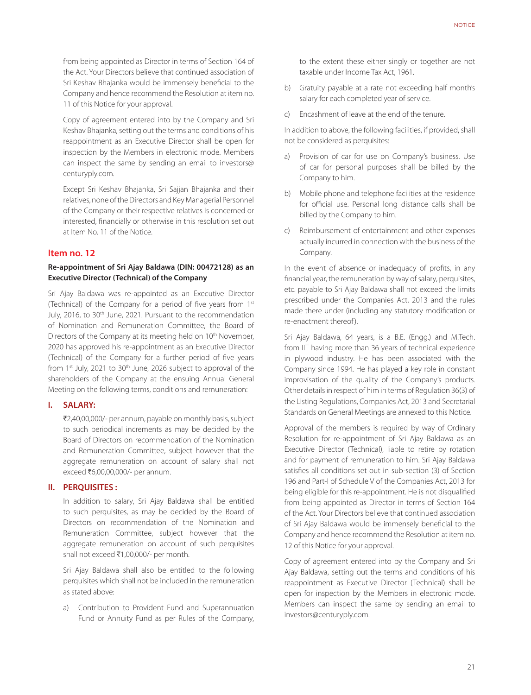from being appointed as Director in terms of Section 164 of the Act. Your Directors believe that continued association of Sri Keshav Bhajanka would be immensely beneficial to the Company and hence recommend the Resolution at item no. 11 of this Notice for your approval.

Copy of agreement entered into by the Company and Sri Keshav Bhajanka, setting out the terms and conditions of his reappointment as an Executive Director shall be open for inspection by the Members in electronic mode. Members can inspect the same by sending an email to investors@ centuryply.com.

Except Sri Keshav Bhajanka, Sri Sajjan Bhajanka and their relatives, none of the Directors and Key Managerial Personnel of the Company or their respective relatives is concerned or interested, financially or otherwise in this resolution set out at Item No. 11 of the Notice.

#### **Item no. 12**

#### **Re-appointment of Sri Ajay Baldawa (DIN: 00472128) as an Executive Director (Technical) of the Company**

Sri Ajay Baldawa was re-appointed as an Executive Director (Technical) of the Company for a period of five years from 1st July, 2016, to 30<sup>th</sup> June, 2021. Pursuant to the recommendation of Nomination and Remuneration Committee, the Board of Directors of the Company at its meeting held on 10<sup>th</sup> November, 2020 has approved his re-appointment as an Executive Director (Technical) of the Company for a further period of five years from  $1<sup>st</sup>$  July, 2021 to  $30<sup>th</sup>$  June, 2026 subject to approval of the shareholders of the Company at the ensuing Annual General Meeting on the following terms, conditions and remuneration:

#### **I. SALARY:**

₹2,40,00,000/- per annum, payable on monthly basis, subject to such periodical increments as may be decided by the Board of Directors on recommendation of the Nomination and Remuneration Committee, subject however that the aggregate remuneration on account of salary shall not exceed ₹6,00,00,000/- per annum.

#### **II. PERQUISITES :**

In addition to salary, Sri Ajay Baldawa shall be entitled to such perquisites, as may be decided by the Board of Directors on recommendation of the Nomination and Remuneration Committee, subject however that the aggregate remuneration on account of such perquisites shall not exceed ₹1,00,000/- per month.

Sri Ajay Baldawa shall also be entitled to the following perquisites which shall not be included in the remuneration as stated above:

a) Contribution to Provident Fund and Superannuation Fund or Annuity Fund as per Rules of the Company,

to the extent these either singly or together are not taxable under Income Tax Act, 1961.

- b) Gratuity payable at a rate not exceeding half month's salary for each completed year of service.
- c) Encashment of leave at the end of the tenure.

In addition to above, the following facilities, if provided, shall not be considered as perquisites:

- a) Provision of car for use on Company's business. Use of car for personal purposes shall be billed by the Company to him.
- b) Mobile phone and telephone facilities at the residence for official use. Personal long distance calls shall be billed by the Company to him.
- c) Reimbursement of entertainment and other expenses actually incurred in connection with the business of the Company.

In the event of absence or inadequacy of profits, in any financial year, the remuneration by way of salary, perquisites, etc. payable to Sri Ajay Baldawa shall not exceed the limits prescribed under the Companies Act, 2013 and the rules made there under (including any statutory modification or re-enactment thereof ).

Sri Ajay Baldawa, 64 years, is a B.E. (Engg.) and M.Tech. from IIT having more than 36 years of technical experience in plywood industry. He has been associated with the Company since 1994. He has played a key role in constant improvisation of the quality of the Company's products. Other details in respect of him in terms of Regulation 36(3) of the Listing Regulations, Companies Act, 2013 and Secretarial Standards on General Meetings are annexed to this Notice.

Approval of the members is required by way of Ordinary Resolution for re-appointment of Sri Ajay Baldawa as an Executive Director (Technical), liable to retire by rotation and for payment of remuneration to him. Sri Ajay Baldawa satisfies all conditions set out in sub-section (3) of Section 196 and Part-I of Schedule V of the Companies Act, 2013 for being eligible for this re-appointment. He is not disqualified from being appointed as Director in terms of Section 164 of the Act. Your Directors believe that continued association of Sri Ajay Baldawa would be immensely beneficial to the Company and hence recommend the Resolution at item no. 12 of this Notice for your approval.

Copy of agreement entered into by the Company and Sri Ajay Baldawa, setting out the terms and conditions of his reappointment as Executive Director (Technical) shall be open for inspection by the Members in electronic mode. Members can inspect the same by sending an email to investors@centuryply.com.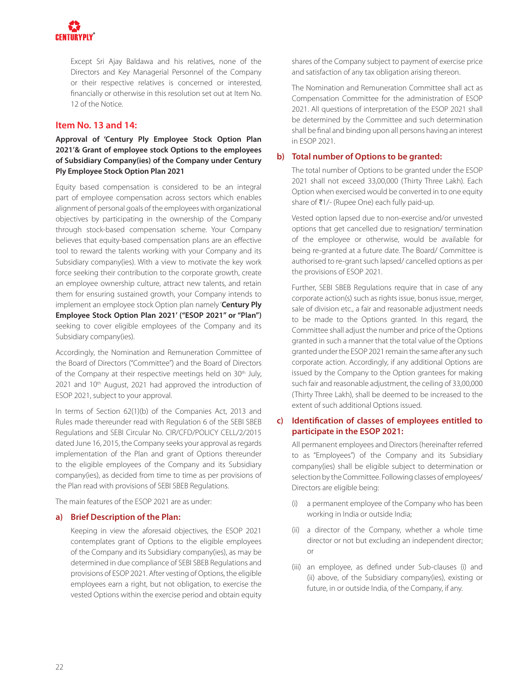

Except Sri Ajay Baldawa and his relatives, none of the Directors and Key Managerial Personnel of the Company or their respective relatives is concerned or interested, financially or otherwise in this resolution set out at Item No. 12 of the Notice.

#### **Item No. 13 and 14:**

**Approval of 'Century Ply Employee Stock Option Plan 2021'& Grant of employee stock Options to the employees of Subsidiary Company(ies) of the Company under Century Ply Employee Stock Option Plan 2021**

Equity based compensation is considered to be an integral part of employee compensation across sectors which enables alignment of personal goals of the employees with organizational objectives by participating in the ownership of the Company through stock-based compensation scheme. Your Company believes that equity-based compensation plans are an effective tool to reward the talents working with your Company and its Subsidiary company(ies). With a view to motivate the key work force seeking their contribution to the corporate growth, create an employee ownership culture, attract new talents, and retain them for ensuring sustained growth, your Company intends to implement an employee stock Option plan namely '**Century Ply Employee Stock Option Plan 2021' ("ESOP 2021" or "Plan")**  seeking to cover eligible employees of the Company and its Subsidiary company(ies).

Accordingly, the Nomination and Remuneration Committee of the Board of Directors ("Committee") and the Board of Directors of the Company at their respective meetings held on 30<sup>th</sup> July, 2021 and 10<sup>th</sup> August, 2021 had approved the introduction of ESOP 2021, subject to your approval.

In terms of Section 62(1)(b) of the Companies Act, 2013 and Rules made thereunder read with Regulation 6 of the SEBI SBEB Regulations and SEBI Circular No. CIR/CFD/POLICY CELL/2/2015 dated June 16, 2015, the Company seeks your approval as regards implementation of the Plan and grant of Options thereunder to the eligible employees of the Company and its Subsidiary company(ies), as decided from time to time as per provisions of the Plan read with provisions of SEBI SBEB Regulations.

The main features of the ESOP 2021 are as under:

#### **a) Brief Description of the Plan:**

Keeping in view the aforesaid objectives, the ESOP 2021 contemplates grant of Options to the eligible employees of the Company and its Subsidiary company(ies), as may be determined in due compliance of SEBI SBEB Regulations and provisions of ESOP 2021. After vesting of Options, the eligible employees earn a right, but not obligation, to exercise the vested Options within the exercise period and obtain equity shares of the Company subject to payment of exercise price and satisfaction of any tax obligation arising thereon.

The Nomination and Remuneration Committee shall act as Compensation Committee for the administration of ESOP 2021. All questions of interpretation of the ESOP 2021 shall be determined by the Committee and such determination shall be final and binding upon all persons having an interest in ESOP 2021.

#### **b) Total number of Options to be granted:**

The total number of Options to be granted under the ESOP 2021 shall not exceed 33,00,000 (Thirty Three Lakh). Each Option when exercised would be converted in to one equity share of ₹1/- (Rupee One) each fully paid-up.

Vested option lapsed due to non-exercise and/or unvested options that get cancelled due to resignation/ termination of the employee or otherwise, would be available for being re-granted at a future date. The Board/ Committee is authorised to re-grant such lapsed/ cancelled options as per the provisions of ESOP 2021.

Further, SEBI SBEB Regulations require that in case of any corporate action(s) such as rights issue, bonus issue, merger, sale of division etc., a fair and reasonable adjustment needs to be made to the Options granted. In this regard, the Committee shall adjust the number and price of the Options granted in such a manner that the total value of the Options granted under the ESOP 2021 remain the same after any such corporate action. Accordingly, if any additional Options are issued by the Company to the Option grantees for making such fair and reasonable adjustment, the ceiling of 33,00,000 (Thirty Three Lakh), shall be deemed to be increased to the extent of such additional Options issued.

#### **c) Identification of classes of employees entitled to participate in the ESOP 2021:**

All permanent employees and Directors (hereinafter referred to as "Employees") of the Company and its Subsidiary company(ies) shall be eligible subject to determination or selection by the Committee. Following classes of employees/ Directors are eligible being:

- (i) a permanent employee of the Company who has been working in India or outside India;
- (ii) a director of the Company, whether a whole time director or not but excluding an independent director; or
- (iii) an employee, as defined under Sub-clauses (i) and (ii) above, of the Subsidiary company(ies), existing or future, in or outside India, of the Company, if any.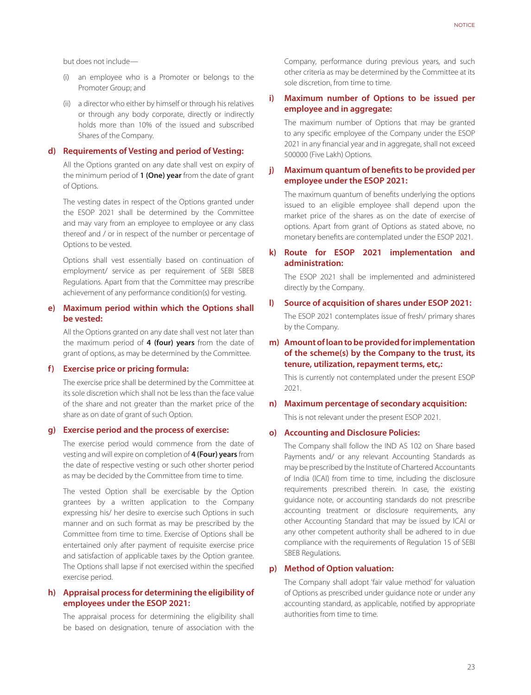but does not include—

- (i) an employee who is a Promoter or belongs to the Promoter Group; and
- (ii) a director who either by himself or through his relatives or through any body corporate, directly or indirectly holds more than 10% of the issued and subscribed Shares of the Company.

#### **d) Requirements of Vesting and period of Vesting:**

All the Options granted on any date shall vest on expiry of the minimum period of **1 (One) year** from the date of grant of Options.

The vesting dates in respect of the Options granted under the ESOP 2021 shall be determined by the Committee and may vary from an employee to employee or any class thereof and / or in respect of the number or percentage of Options to be vested.

Options shall vest essentially based on continuation of employment/ service as per requirement of SEBI SBEB Regulations. Apart from that the Committee may prescribe achievement of any performance condition(s) for vesting.

#### **e) Maximum period within which the Options shall be vested:**

All the Options granted on any date shall vest not later than the maximum period of **4 (four) years** from the date of grant of options, as may be determined by the Committee.

#### **f) Exercise price or pricing formula:**

The exercise price shall be determined by the Committee at its sole discretion which shall not be less than the face value of the share and not greater than the market price of the share as on date of grant of such Option.

#### **g) Exercise period and the process of exercise:**

The exercise period would commence from the date of vesting and will expire on completion of **4 (Four) years** from the date of respective vesting or such other shorter period as may be decided by the Committee from time to time.

The vested Option shall be exercisable by the Option grantees by a written application to the Company expressing his/ her desire to exercise such Options in such manner and on such format as may be prescribed by the Committee from time to time. Exercise of Options shall be entertained only after payment of requisite exercise price and satisfaction of applicable taxes by the Option grantee. The Options shall lapse if not exercised within the specified exercise period.

#### **h) Appraisal process for determining the eligibility of employees under the ESOP 2021:**

The appraisal process for determining the eligibility shall be based on designation, tenure of association with the

Company, performance during previous years, and such other criteria as may be determined by the Committee at its sole discretion, from time to time.

#### **i) Maximum number of Options to be issued per employee and in aggregate:**

The maximum number of Options that may be granted to any specific employee of the Company under the ESOP 2021 in any financial year and in aggregate, shall not exceed 500000 (Five Lakh) Options.

#### **j) Maximum quantum of benefits to be provided per employee under the ESOP 2021:**

The maximum quantum of benefits underlying the options issued to an eligible employee shall depend upon the market price of the shares as on the date of exercise of options. Apart from grant of Options as stated above, no monetary benefits are contemplated under the ESOP 2021.

#### **k) Route for ESOP 2021 implementation and administration:**

The ESOP 2021 shall be implemented and administered directly by the Company.

#### **l) Source of acquisition of shares under ESOP 2021:**

The ESOP 2021 contemplates issue of fresh/ primary shares by the Company.

#### **m) Amount of loan to be provided for implementation of the scheme(s) by the Company to the trust, its tenure, utilization, repayment terms, etc,:**

This is currently not contemplated under the present ESOP 2021.

#### **n) Maximum percentage of secondary acquisition:** This is not relevant under the present ESOP 2021.

#### **o) Accounting and Disclosure Policies:**

The Company shall follow the IND AS 102 on Share based Payments and/ or any relevant Accounting Standards as may be prescribed by the Institute of Chartered Accountants of India (ICAI) from time to time, including the disclosure requirements prescribed therein. In case, the existing guidance note, or accounting standards do not prescribe accounting treatment or disclosure requirements, any other Accounting Standard that may be issued by ICAI or any other competent authority shall be adhered to in due compliance with the requirements of Regulation 15 of SEBI SBEB Regulations.

#### **p) Method of Option valuation:**

The Company shall adopt 'fair value method' for valuation of Options as prescribed under guidance note or under any accounting standard, as applicable, notified by appropriate authorities from time to time.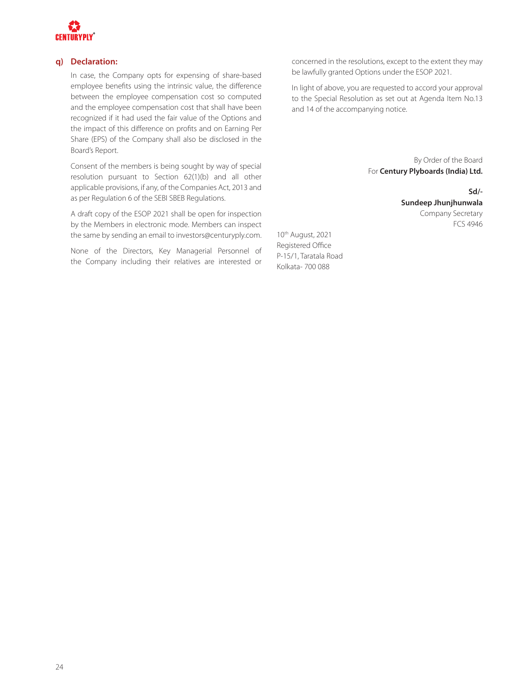

#### **q) Declaration:**

In case, the Company opts for expensing of share-based employee benefits using the intrinsic value, the difference between the employee compensation cost so computed and the employee compensation cost that shall have been recognized if it had used the fair value of the Options and the impact of this difference on profits and on Earning Per Share (EPS) of the Company shall also be disclosed in the Board's Report.

Consent of the members is being sought by way of special resolution pursuant to Section 62(1)(b) and all other applicable provisions, if any, of the Companies Act, 2013 and as per Regulation 6 of the SEBI SBEB Regulations.

A draft copy of the ESOP 2021 shall be open for inspection by the Members in electronic mode. Members can inspect the same by sending an email to investors@centuryply.com.

None of the Directors, Key Managerial Personnel of the Company including their relatives are interested or

concerned in the resolutions, except to the extent they may be lawfully granted Options under the ESOP 2021.

In light of above, you are requested to accord your approval to the Special Resolution as set out at Agenda Item No.13 and 14 of the accompanying notice.

> By Order of the Board For **Century Plyboards (India) Ltd.**

> > **Sd/- Sundeep Jhunjhunwala**  Company Secretary FCS 4946

10th August, 2021 Registered Office P-15/1, Taratala Road Kolkata- 700 088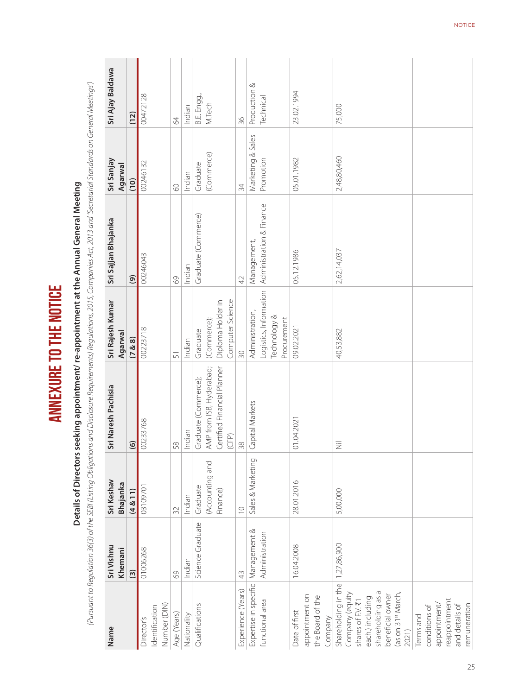| Name                                                                                                                                                                | Sri Vishnu<br>Khemani | Sri Keshav<br>Bhajanka                  | Sri Naresh Pachisia                                                                      | Sri Rajesh Kumar<br>Agarwal                                      | Sri Sajjan Bhajanka      | Sri Sanjay<br>Agarwal  | Sri Ajay Baldawa      |
|---------------------------------------------------------------------------------------------------------------------------------------------------------------------|-----------------------|-----------------------------------------|------------------------------------------------------------------------------------------|------------------------------------------------------------------|--------------------------|------------------------|-----------------------|
|                                                                                                                                                                     | $\widehat{3}$         | (4 & 11)                                | $\odot$                                                                                  | (7 & 8)                                                          | $\circledcirc$           | (10)                   | (12)                  |
| Number (DIN)<br>Identification<br>Director's                                                                                                                        | 01006268              | 03109701                                | 00233768                                                                                 | 00223718                                                         | 00246043                 | 00246132               | 00472128              |
| Age (Years)                                                                                                                                                         | $\odot$               | 32                                      | 58                                                                                       | 51                                                               | 69                       | 8                      | $\mathcal{L}$         |
| Nationality                                                                                                                                                         | Indian                | Indian                                  | Indian                                                                                   | Indian                                                           | Indian                   | Indian                 | Indian                |
| Qualifications                                                                                                                                                      | Science Graduate      | (Accounting and<br>Graduate<br>Finance) | AMP from ISB, Hyderabad;<br>Certified Financial Planner<br>Graduate (Commerce);<br>(CFP) | Computer Science<br>Diploma Holder in<br>(Commerce);<br>Graduate | Graduate (Commerce)      | (Commerce)<br>Graduate | B.E. Engg.,<br>M.Tech |
| Experience (Years)                                                                                                                                                  | 43                    | $\overline{C}$                          | 38                                                                                       | 30                                                               | 42                       | 34                     | 36                    |
| Expertise in specific                                                                                                                                               | Management &          | Sales & Marketing                       | Capital Markets                                                                          | Administration,                                                  | Management,              | Marketing & Sales      | ∞<br>Production       |
| functional area                                                                                                                                                     | Administration        |                                         |                                                                                          | Logistics, Information<br>Technology &<br>Procurement            | Administration & Finance | Promotion              | Technical             |
| appointment on<br>the Board of the<br>Date of first<br>Company                                                                                                      | 16.04.2008            | 28.01.2016                              | 01.04.2021                                                                               | 09.02.2021                                                       | 05.12.1986               | 05.01.1982             | 23.02.1994            |
| Shareholding in the<br>shareholding as a<br>Company (equity<br>(as on 31 <sup>st</sup> March,<br>beneficial owner<br>each.) including<br>shares of F.V. ₹1<br>2021) | 1,27,86,900           | 5,00,000                                | 三                                                                                        | 40,53,882                                                        | 2,62,14,037              | 2,48,80,460            | 75,000                |
| reappointment<br>appointment/<br>and details of<br>remuneration<br>conditions of<br>Terms and                                                                       |                       |                                         |                                                                                          |                                                                  |                          |                        |                       |

# ANNEXURE TO THE NOTICE **ANNEXURE TO THE NOTICE**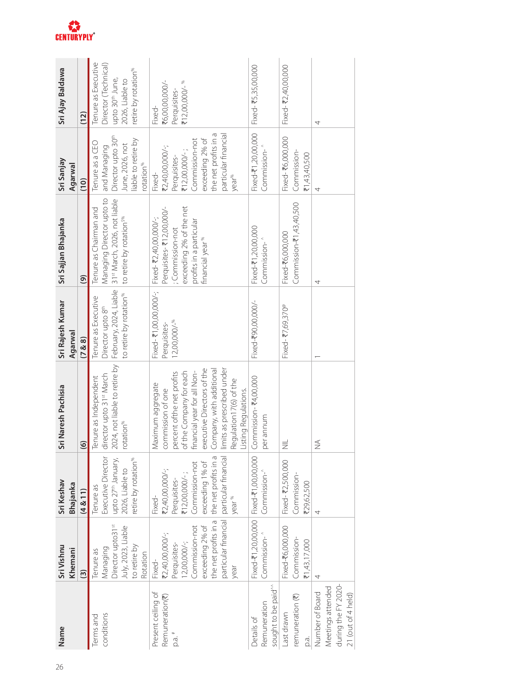| Name                                                                              | Sri Vishnu<br>Khemani                                                                                                                                                                                 | Sri Keshav<br><b>Bhajanka</b>                                                                                          | Sri Naresh Pachisia                                                                                                                                                                                                                                                     | Sri Rajesh Kumar<br>Agarwal                                                                                                                                | Sri Sajjan Bhajanka                                                                   | Sri Sanjay<br>Agarwal                                                                                                                                                  | Sri Ajay Baldawa                                                                                                                 |
|-----------------------------------------------------------------------------------|-------------------------------------------------------------------------------------------------------------------------------------------------------------------------------------------------------|------------------------------------------------------------------------------------------------------------------------|-------------------------------------------------------------------------------------------------------------------------------------------------------------------------------------------------------------------------------------------------------------------------|------------------------------------------------------------------------------------------------------------------------------------------------------------|---------------------------------------------------------------------------------------|------------------------------------------------------------------------------------------------------------------------------------------------------------------------|----------------------------------------------------------------------------------------------------------------------------------|
|                                                                                   | $\widehat{\mathbf{c}}$                                                                                                                                                                                | (4 & 11)                                                                                                               | $\odot$                                                                                                                                                                                                                                                                 | (7 & 8)                                                                                                                                                    | $\widehat{\mathcal{C}}$                                                               | (10)                                                                                                                                                                   | (12)                                                                                                                             |
| conditions<br>erms and                                                            | Director upto31st<br>July, 2023, Liable<br>to retire by<br>Managing<br>Tenure as<br>Rotation                                                                                                          | Executive Director<br>upto 27 <sup>th</sup> January,<br>etire by rotation <sup>%</sup><br>2026, Liable to<br>Tenure as | 2024, not liable to retire by<br>director upto 31st March<br>Tenure as Independent<br>"otation <sup>%</sup>                                                                                                                                                             | to retire by rotation <sup>%</sup>   to retire by rotation <sup>5%</sup><br>February, 2024, Liable<br>Tenure as Executive<br>Director upto 8 <sup>th</sup> | Managing Director upto to<br>31st March, 2026, not liable<br>Tenure as Chairman and   | Director upto 30 <sup>th</sup><br>liable to retire by<br>Tenure as a CEO<br>June, 2026, not<br>and Managing<br>rotation <sup>%</sup>                                   | Tenure as Executive<br>Director (Technical)<br>retire by rotation <sup>%</sup><br>upto 30 <sup>th</sup> June,<br>2026, Liable to |
| Present ceiling of<br>Remuneration(₹)<br>p.a.#                                    | the net profits in a   the net profits in a<br>particular financial   particular financia<br>Commission-not<br>exceeding 2% of<br>₹2,40,00,000/-;<br>$12,00,000/-;$<br>Perquisites-<br>Fixed-<br>year | Commission-not<br>exceeding 1% of<br>₹2,40,00,000/-;<br>$712,00,000/-;$<br>Perquisites-<br>year <sup>%</sup><br>Fixed- | executive Directors of the<br>limits as prescribed under<br>Company, with additional<br>of the Company for each<br>financial year for all Non-<br>percent ofthe net profits<br>Regulation17(6) of the<br>Maximum aggregate<br>commission of one<br>Listing Regulations. | Fixed- ₹1,00,00,000/-;<br>$12,00,000/$ - <sup>%</sup><br>Perquisites-                                                                                      | Perquisites-<br>₹12,00,000/-<br>exceeding 2% of the net<br>Fixed- ₹2,40,00,000/-;<br> | the net profits in a<br>particular financial<br>exceeding 2% of<br>Commission-not<br>₹2,40,00,000/-;<br>$712,00,000/-;$<br>Perquisites-<br>Fixed-<br>year <sup>%</sup> | ₹6,00,00,000/-<br>₹12,00,000/- %<br>Perquisites-<br>Fixed-                                                                       |
| sought to be paid <sup>^^</sup><br>Remuneration<br>Details of                     | Fixed-₹1,20,00,000   Fixed-₹1,00,00,000<br>Commission- <sup>^</sup>                                                                                                                                   | Commission- <sup>^</sup>                                                                                               | Commission- ₹4,00,000<br>per annum                                                                                                                                                                                                                                      | Fixed-₹90,00,000/-                                                                                                                                         | Fixed-₹1,20,00,000<br>Commission- <sup>^</sup>                                        | Fixed-₹1,20,00,000<br>Commission- <sup>^</sup>                                                                                                                         | Fixed- ₹5,35,00,000                                                                                                              |
| remuneration (₹)<br>Last drawn<br>o.<br>Q                                         | Fixed-₹6,000,000<br>Commission-<br>₹1,43,17,000                                                                                                                                                       | Fixed- ₹2,500,000<br>Commission-<br>₹29,62,500                                                                         | $\equiv$                                                                                                                                                                                                                                                                | Fixed- ₹7,69,370 <sup>®</sup>                                                                                                                              | $Commission-71,43,40,500$<br>Fixed-₹6,000,000                                         | Fixed- ₹6,000,000<br>Commission-<br>₹1,43,40,500                                                                                                                       | Fixed- ₹2,40,00,000                                                                                                              |
| during the FY 2020-<br>Meetings attended<br>Number of Board<br>21 (out of 4 held) |                                                                                                                                                                                                       |                                                                                                                        | $\frac{1}{2}$                                                                                                                                                                                                                                                           |                                                                                                                                                            | 4                                                                                     | 4                                                                                                                                                                      | 4                                                                                                                                |

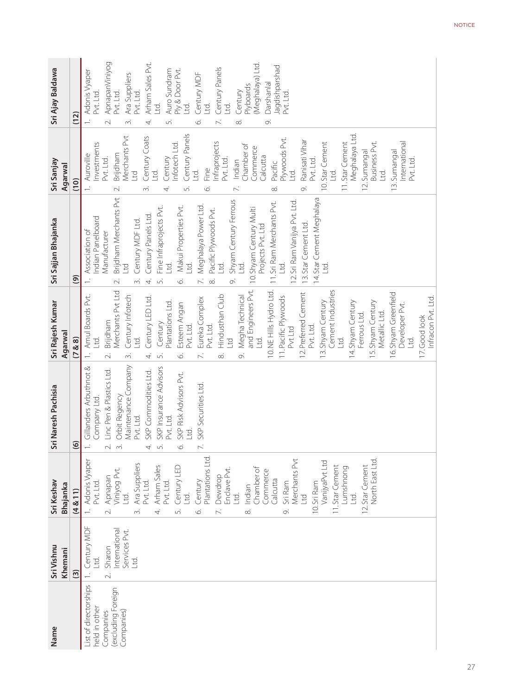| Name                                                                                   | Sri Vishnu<br>Khemani                                                                   | Sri Keshav<br>Bhajanka                                                                                                                                                                                                                                                                                                                                                                                                                                                                                                                                                   | Sri Naresh Pachisia                                                                                                                                                                                                                                                                                                                       | Sri Rajesh Kumar<br>Agarwal                                                                                                                                                                                                                                                                                                                                                                                                                                                                                                                                                                                                                                                                                              | Sri Sajjan Bhajanka                                                                                                                                                                                                                                                                                                                                                                                                                                                                                                                                                                                          | Sri Sanjay<br>Agarwal                                                                                                                                                                                                                                                                                                                                                                                                                                                                                                                                                            | Sri Ajay Baldawa                                                                                                                                                                                                                                                                                                                                                                                |
|----------------------------------------------------------------------------------------|-----------------------------------------------------------------------------------------|--------------------------------------------------------------------------------------------------------------------------------------------------------------------------------------------------------------------------------------------------------------------------------------------------------------------------------------------------------------------------------------------------------------------------------------------------------------------------------------------------------------------------------------------------------------------------|-------------------------------------------------------------------------------------------------------------------------------------------------------------------------------------------------------------------------------------------------------------------------------------------------------------------------------------------|--------------------------------------------------------------------------------------------------------------------------------------------------------------------------------------------------------------------------------------------------------------------------------------------------------------------------------------------------------------------------------------------------------------------------------------------------------------------------------------------------------------------------------------------------------------------------------------------------------------------------------------------------------------------------------------------------------------------------|--------------------------------------------------------------------------------------------------------------------------------------------------------------------------------------------------------------------------------------------------------------------------------------------------------------------------------------------------------------------------------------------------------------------------------------------------------------------------------------------------------------------------------------------------------------------------------------------------------------|----------------------------------------------------------------------------------------------------------------------------------------------------------------------------------------------------------------------------------------------------------------------------------------------------------------------------------------------------------------------------------------------------------------------------------------------------------------------------------------------------------------------------------------------------------------------------------|-------------------------------------------------------------------------------------------------------------------------------------------------------------------------------------------------------------------------------------------------------------------------------------------------------------------------------------------------------------------------------------------------|
|                                                                                        | $\widehat{\mathbf{S}}$                                                                  | (4 & 11)                                                                                                                                                                                                                                                                                                                                                                                                                                                                                                                                                                 | $\odot$                                                                                                                                                                                                                                                                                                                                   | (7 & 8)                                                                                                                                                                                                                                                                                                                                                                                                                                                                                                                                                                                                                                                                                                                  | $\circledcirc$                                                                                                                                                                                                                                                                                                                                                                                                                                                                                                                                                                                               | (10)                                                                                                                                                                                                                                                                                                                                                                                                                                                                                                                                                                             | (12)                                                                                                                                                                                                                                                                                                                                                                                            |
| List of directorships<br>excluding Foreign<br>held in other<br>Companies)<br>Companies | Century MDF<br>International<br>Services Pvt.<br>Sharon<br><u>Ltd</u> .<br>gi<br>$\sim$ | Plantations Ltd.<br>Merchants Pvt<br>North East Ltd.<br>1. Adonis Vyaper<br>VanijyaPvt Ltd<br>Ara Suppliers<br>Pvt. Ltd.<br>12.Star Cement<br>Arham Sales<br>11.Star Cement<br>Century LED<br>Lumshnong<br>Chamber of<br>Enclave Pvt.<br>Viniyog Pvt.<br>Commerce<br>Dewdrop<br>Apnapan<br>Calcutta<br>Century<br>10. Sri Ram<br>Sri Ram<br>Pvt. Ltd.<br>Pvt. Ltd.<br>Indian<br><u>Id</u><br><u>Ltd</u> .<br>PT<br><u>Ltd</u> .<br><u>td</u><br>$\overline{\mathcal{N}}$<br>$\vec{m}$<br>$\overline{4}$<br>$\overline{\wedge}$<br>$\infty$<br>$\circ$<br>$\infty$<br>Loj | Maintenance Company<br>SKP Insurance Advisors<br>Gillanders Arbuthnot &<br>Linc Pen & Plastics Ltd.<br>SKP Commodities Ltd.<br>SKP Risk Advisors Pvt.<br>SKP Securities Ltd<br>Orbit Regency<br>Company Ltd<br>Pvt. Ltd.<br>Pvt. Ltd.<br><u>rd</u><br>$\div$<br>$\overline{\phantom{0}}$<br>$\sim$<br>$\overline{5}$<br>$\sim$<br>4.<br>Ö | and Engineers Pvt.<br>Merchants Pvt Ltd<br>Cement Industries<br>10. NE Hills Hydro Ltd.<br>12. Preferred Cement<br>6. Shyam Greenfield<br>Amul Boards Pvt.<br>Century Infotech<br>Hindusthan Club<br>Megha Technical<br>Century LED Ltd.<br>11. Pacific Plywoods<br>Eureka Complex<br>Infracon Pvt. Ltd.<br>13. Shyam Century<br>14.Shyam Century<br>5. Shyam Century<br>Plantations Ltd.<br>Esteem Angan<br>Developer Pvt.<br>Metallic Ltd.<br>Ferrous Ltd.<br>17.Good look<br>Brijdham<br>Century<br>Pvt. Ltd.<br>Pvt. Ltd.<br>Pvt. Ltd.<br>Pvt Ltd<br>Ltd.<br><u>Ltd</u><br><u>Id</u><br>gi<br><u>rd</u><br>D4T<br>$\infty$<br>$\overline{\mathcal{N}}$<br>$\sim$<br>4.<br>$\overline{5}$<br>Ó.<br>∞ं<br>$\dot{\sim}$ | Brijdham Merchants Pvt<br>14.Star Cement Meghalaya<br>Shyam Century Ferrous<br>12.Sri Ram Vanijya Pvt. Ltd.<br>11.Sri Ram Merchants Pvt.<br>Meghalaya Power Ltd.<br>Fine Infraprojects Pvt.<br>Makui Properties Pvt.<br>10.Shyam Century Multi<br>Pacific Plywoods Pvt.<br>Century Panels Ltd.<br>ndian Panelboard<br>Century MDF Ltd.<br>13. Star Cement Ltd.<br>Projects Pvt. Ltd<br>Association of<br>Manufacturer<br><u>Ltd</u> .<br><u>Ltd</u> .<br><u>Ltd</u><br><u>rd</u><br>Ltd.<br><u>Lid</u><br><b>D<sub>1</sub></b><br>$\mathcal{L}$<br>o,<br>$\infty$<br>$\dot{\sim}$<br>4.<br>S.<br>$\sim$<br>Ö | Century Panels<br>Meghalaya Ltd<br>Merchants Pvt<br>Century Coats<br>Plywoods Pvt.<br>Ranisati Vihar<br>nfraprojects<br><b>Business Pvt.</b><br>10. Star Cement<br>International<br>nvestments<br>nfotech Ltd.<br>11.Star Cement<br>Chamber of<br><b>Commerce</b><br>Sumangal<br>Sumangal<br>Brijdham<br>Auroville<br>Calcutta<br>Century<br>Pvt. Ltd.<br>Pvt. Ltd.<br>Pvt. Ltd.<br>Pvt. Ltd.<br>Indian<br>Pacific<br>Fine<br>Fine<br>_td.<br><u>Ltd</u> .<br>Ltd.<br>Ltd.<br>Ltd.<br>Dq<br>$\overline{12}$ .<br>$\frac{3}{2}$<br>$\infty$<br>Ö<br>5<br>ന്<br>4.<br>∞ं<br>$\sim$ | ApnapanViniyog<br>Pvt. Ltd.<br>Arham Sales Pvt.<br>Meghalaya) Ltd<br>Jagdishparshad<br>Century Panels<br>Auro Sundram<br>Ply & Door Pvt.<br>Adonis Vyaper<br>Century MDF<br>Ara Suppliers<br>Darshanlal<br>Plyboards<br>Century<br>Pvt. Ltd.<br>Pvt. Ltd<br>Pvt. Ltd.<br>Ltd.<br><u>rd</u><br><u>Ltd</u><br><u>rd</u><br>$\overline{\sim}$<br>o.<br>s.<br>7.<br>$\overline{m}$<br>4.<br>Ö<br>∞ं |
|                                                                                        |                                                                                         |                                                                                                                                                                                                                                                                                                                                                                                                                                                                                                                                                                          |                                                                                                                                                                                                                                                                                                                                           |                                                                                                                                                                                                                                                                                                                                                                                                                                                                                                                                                                                                                                                                                                                          |                                                                                                                                                                                                                                                                                                                                                                                                                                                                                                                                                                                                              |                                                                                                                                                                                                                                                                                                                                                                                                                                                                                                                                                                                  |                                                                                                                                                                                                                                                                                                                                                                                                 |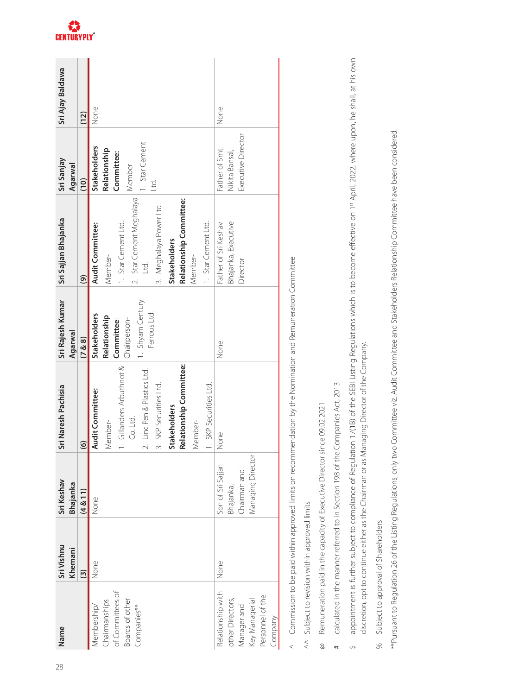| Name                              | Sri Vishnu              | Sri Keshav        | Sri Naresh Pachisia         | Sri Rajesh Kumar                 | Sri Sajjan Bhajanka      | Sri Sanjay          | Sri Ajay Baldawa |
|-----------------------------------|-------------------------|-------------------|-----------------------------|----------------------------------|--------------------------|---------------------|------------------|
|                                   | Khemani                 | <b>Bhajanka</b>   |                             | Agarwal                          |                          | Agarwal             |                  |
|                                   | $\widehat{\mathcal{C}}$ | (4 & 11)          | $\frac{6}{2}$               | (7 & 8 & 8)                      | $\widehat{\mathcal{C}}$  | (10)                | (12)             |
| Membership/                       | None                    | None              | Audit Committee:            | <b>Stakeholders</b>              | Audit Committee:         | <b>Stakeholders</b> | None             |
| Chairmanships<br>of Committees of |                         |                   | Member-                     | Relationship                     | Member-                  | Relationship        |                  |
|                                   |                         |                   | 1. Gillanders Arbuthnot &   | Committee:                       | 1. Star Cement Ltd.      | Committee:          |                  |
| Boards of other<br>Companies**    |                         |                   | Co. Ltd.                    | Chairperson-                     | 2. Star Cement Meghalaya | Member-             |                  |
|                                   |                         |                   | 2. Linc Pen & Plastics Ltd. | 1. Shyam Century<br>Ferrous Ltd. | Ltd.                     | 1. Star Cement      |                  |
|                                   |                         |                   | 3. SKP Securities Ltd.      |                                  | 3. Meghalaya Power Ltd.  | g                   |                  |
|                                   |                         |                   | <b>Stakeholders</b>         |                                  | <b>Stakeholders</b>      |                     |                  |
|                                   |                         |                   | Relationship Committee:     |                                  | Relationship Committee:  |                     |                  |
|                                   |                         |                   | Member-                     |                                  | Member-                  |                     |                  |
|                                   |                         |                   | 1. SKP Securities Ltd.      |                                  | 1. Star Cement Ltd.      |                     |                  |
| Relationship with                 | None                    | Son of Sri Sajjan | None                        | None                             | Father of Sri Keshav     | Father of Smt.      | None             |
| other Directors,                  |                         | Bhajanka,         |                             |                                  | Bhajanka, Executive      | Nikita Bansal,      |                  |
| Manager and<br>Key Managerial     |                         | Chairman and      |                             |                                  | Director                 | Executive Director  |                  |
|                                   |                         | Managing Director |                             |                                  |                          |                     |                  |
| Personnel of the                  |                         |                   |                             |                                  |                          |                     |                  |
| Company                           |                         |                   |                             |                                  |                          |                     |                  |
|                                   |                         |                   |                             |                                  |                          |                     |                  |

Commission to be paid within approved limits on recommendation by the Nomination and Remuneration Committee  $\wedge$  Commission to be paid within approved limits on recommendation by the Nomination and Remuneration Committee  $\overline{a}$ 

Subject to revision within approved limits  $\wedge$  Subject to revision within approved limits  $\lesssim$ 

- Remuneration paid in the capacity of Executive Director since 09.02.2021 @ Remuneration paid in the capacity of Executive Director since 09.02.2021  $^{\circ}$
- calculated in the manner referred to in Section 198 of the Companies Act, 2013 # calculated in the manner referred to in Section 198 of the Companies Act, 2013  $\#$
- appointment is further subject to compliance of Regulation 17(1B) of the SEBI Listing Regulations which is to become effective on 1<sup>st</sup> April, 2022, where upon, he shall, at his own \$ appointment is further subject to compliance of Regulation 17(1B) of the SEBI Listing Regulations which is to become effective on 1st April, 2022, where upon, he shall, at his own discretion, opt to continue either as the Chairman or as Managing Director of the Company. discretion, opt to continue either as the Chairman or as Managing Director of the Company.  $\Diamond$
- Subject to approval of Shareholders % Subject to approval of Shareholders  $%$

\*\*Pursuant to Regulation 26 of the Listing Regulations, only two Committee viz. Audit Committee and Stakeholders Relationship Committee have been considered. \*\*Pursuant to Regulation 26 of the Listing Regulations, only two Committee viz. Audit Committee and Stakeholders Relationship Committee have been considered.